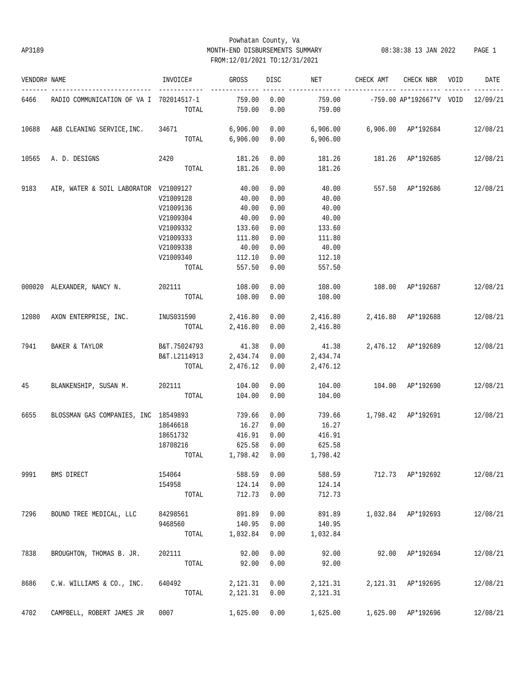## Powhatan County, Va AP3189 MONTH-END DISBURSEMENTS SUMMARY 08:38:38 13 JAN 2022 PAGE 1 FROM:12/01/2021 TO:12/31/2021

| VENDOR# NAME |                                                                                     | INVOICE#                                                 | GROSS               | DISC         | <b>NET</b>               | CHECK AMT                       | CHECK NBR VOID                      | DATE     |
|--------------|-------------------------------------------------------------------------------------|----------------------------------------------------------|---------------------|--------------|--------------------------|---------------------------------|-------------------------------------|----------|
| 6466         | RADIO COMMUNICATION OF VA I 702014517-1                                             | TOTAL                                                    | 759.00<br>759.00    | 0.00<br>0.00 | 759.00<br>759.00         |                                 | $-759.00$ AP*192667*V VOID 12/09/21 |          |
| 10688        | A&B CLEANING SERVICE, INC. 34671 6,906.00 0.00 6,906.00 6,906.00 AP*192684 12/08/21 |                                                          |                     |              |                          |                                 |                                     |          |
|              |                                                                                     |                                                          | TOTAL 6,906.00 0.00 |              | 6,906.00                 |                                 |                                     |          |
| 10565        | A. D. DESIGNS                                                                       | 2420                                                     | 181.26              | 0.00         |                          | 181.26   181.26   AP*192685     |                                     | 12/08/21 |
|              |                                                                                     |                                                          | TOTAL 181.26        | 0.00         | 181.26                   |                                 |                                     |          |
| 9183         | AIR, WATER & SOIL LABORATOR V21009127                                               |                                                          | 40.00               | 0.00         |                          | 40.00 557.50 AP*192686          |                                     | 12/08/21 |
|              |                                                                                     | V21009128                                                | 40.00               | 0.00         | 40.00                    |                                 |                                     |          |
|              |                                                                                     | V21009136                                                | 40.00               | 0.00         | 40.00                    |                                 |                                     |          |
|              |                                                                                     | V21009304                                                | 40.00               | 0.00         | 40.00                    |                                 |                                     |          |
|              |                                                                                     | V21009332                                                | 133.60              | 0.00         | 133.60                   |                                 |                                     |          |
|              |                                                                                     | V21009333                                                | 111.80              | 0.00         | 111.80                   |                                 |                                     |          |
|              |                                                                                     | V21009338                                                | 40.00               | 0.00         | 40.00                    |                                 |                                     |          |
|              |                                                                                     | V21009340                                                | 112.10              | 0.00         | 112.10                   |                                 |                                     |          |
|              |                                                                                     | TOTAL                                                    | 557.50              | 0.00         | 557.50                   |                                 |                                     |          |
|              | 000020 ALEXANDER, NANCY N. 202111                                                   |                                                          | 108.00              | 0.00         | 108.00                   | 108.00 AP*192687                |                                     | 12/08/21 |
|              |                                                                                     | TOTAL                                                    | 108.00              | 0.00         | 108.00                   |                                 |                                     |          |
|              | 12080 AXON ENTERPRISE, INC.                                                         | $INUS031590$ 2,416.80 0.00 2,416.80 2,416.80 $AP*192688$ |                     |              |                          |                                 |                                     | 12/08/21 |
|              |                                                                                     | TOTAL                                                    | 2,416.80 0.00       |              | 2,416.80                 |                                 |                                     |          |
| 7941         | BAKER & TAYLOR                                                                      | B&T.75024793 41.38 0.00                                  |                     |              | 41.38 2,476.12 AP*192689 |                                 |                                     | 12/08/21 |
|              |                                                                                     | B&T.L2114913 2,434.74 0.00 2,434.74                      |                     |              |                          |                                 |                                     |          |
|              |                                                                                     | TOTAL                                                    | 2,476.12 0.00       |              | 2,476.12                 |                                 |                                     |          |
| 45           | BLANKENSHIP, SUSAN M. 202111 104.00                                                 |                                                          |                     | 0.00         | 104.00                   | 104.00 AP*192690                |                                     | 12/08/21 |
|              |                                                                                     | TOTAL                                                    | 104.00              | 0.00         | 104.00                   |                                 |                                     |          |
| 6655         | BLOSSMAN GAS COMPANIES, INC 18549893                                                |                                                          | 739.66              | 0.00         |                          | 739.66 1,798.42 AP*192691       |                                     | 12/08/21 |
|              |                                                                                     | 18646618                                                 | 16.27               | 0.00         | 16.27                    |                                 |                                     |          |
|              |                                                                                     | 18651732                                                 | 416.91              | 0.00         | 416.91                   |                                 |                                     |          |
|              |                                                                                     | 18708216                                                 | 625.58              | 0.00         | 625.58                   |                                 |                                     |          |
|              |                                                                                     | TOTAL 1,798.42 0.00                                      |                     |              | 1,798.42                 |                                 |                                     |          |
| 9991         | BMS DIRECT                                                                          | 154064                                                   | 588.59              | 0.00         | 588.59                   | 712.73 AP*192692                |                                     | 12/08/21 |
|              |                                                                                     | 154958                                                   | 124.14              | 0.00         | 124.14                   |                                 |                                     |          |
|              |                                                                                     | TOTAL                                                    | 712.73              | 0.00         | 712.73                   |                                 |                                     |          |
| 7296         | BOUND TREE MEDICAL, LLC                                                             | 84298561                                                 | 891.89              | 0.00         | 891.89                   |                                 | 1,032.84 AP*192693                  | 12/08/21 |
|              |                                                                                     | 9468560                                                  | 140.95              | 0.00         | 140.95                   |                                 |                                     |          |
|              |                                                                                     | TOTAL                                                    | 1,032.84            | 0.00         | 1,032.84                 |                                 |                                     |          |
| 7838         | BROUGHTON, THOMAS B. JR.                                                            | 202111                                                   | 92.00               | 0.00         | 92.00                    |                                 | 92.00 AP*192694                     | 12/08/21 |
|              |                                                                                     | TOTAL                                                    | 92.00               | 0.00         | 92.00                    |                                 |                                     |          |
| 8686         | C.W. WILLIAMS & CO., INC.                                                           | 640492                                                   | 2,121.31            | 0.00         | 2,121.31                 |                                 | 2,121.31 AP*192695                  | 12/08/21 |
|              |                                                                                     | TOTAL                                                    | 2,121.31            | 0.00         | 2,121.31                 |                                 |                                     |          |
| 4702         | CAMPBELL, ROBERT JAMES JR                                                           | 0007                                                     | 1,625.00            | 0.00         |                          | 1,625.00   1,625.00   AP*192696 |                                     | 12/08/21 |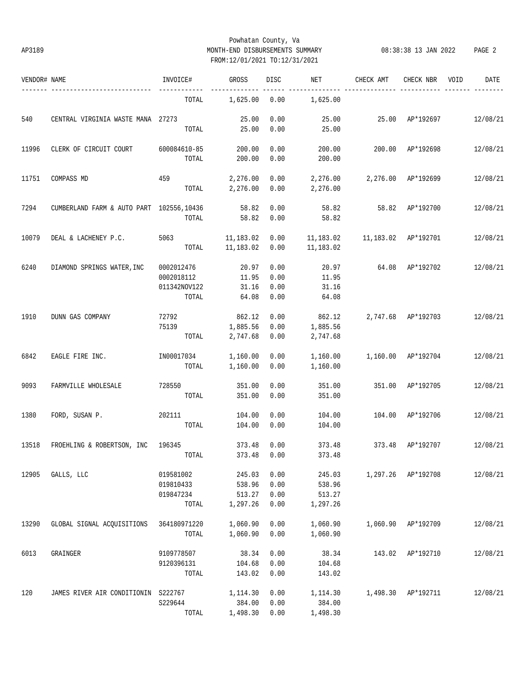## Powhatan County, Va AP3189 MONTH-END DISBURSEMENTS SUMMARY 08:38:38 13 JAN 2022 PAGE 2 FROM:12/01/2021 TO:12/31/2021

| VENDOR# NAME |                                          | INVOICE#     | GROSS     | DISC | NET       | CHECK AMT           | CHECK NBR          | VOID | DATE     |
|--------------|------------------------------------------|--------------|-----------|------|-----------|---------------------|--------------------|------|----------|
|              | ---------------                          | TOTAL        | 1,625.00  | 0.00 | 1,625.00  |                     |                    |      |          |
| 540          | CENTRAL VIRGINIA WASTE MANA 27273        |              | 25.00     | 0.00 | 25.00     |                     | 25.00 AP*192697    |      | 12/08/21 |
|              |                                          | TOTAL        | 25.00     | 0.00 | 25.00     |                     |                    |      |          |
| 11996        | CLERK OF CIRCUIT COURT                   | 600084610-85 | 200.00    | 0.00 | 200.00    | 200.00              | AP*192698          |      | 12/08/21 |
|              |                                          | TOTAL        | 200.00    | 0.00 | 200.00    |                     |                    |      |          |
| 11751        | COMPASS MD                               | 459          | 2,276.00  | 0.00 | 2,276.00  |                     | 2,276.00 AP*192699 |      | 12/08/21 |
|              |                                          | TOTAL        | 2,276.00  | 0.00 | 2,276.00  |                     |                    |      |          |
| 7294         | CUMBERLAND FARM & AUTO PART 102556,10436 |              | 58.82     | 0.00 | 58.82     | 58.82               | AP*192700          |      | 12/08/21 |
|              |                                          | TOTAL        | 58.82     | 0.00 | 58.82     |                     |                    |      |          |
| 10079        | DEAL & LACHENEY P.C.                     | 5063         | 11,183.02 | 0.00 | 11,183.02 | 11,183.02 AP*192701 |                    |      | 12/08/21 |
|              |                                          | TOTAL        | 11,183.02 | 0.00 | 11,183.02 |                     |                    |      |          |
| 6240         | DIAMOND SPRINGS WATER, INC               | 0002012476   | 20.97     | 0.00 | 20.97     | 64.08               | AP*192702          |      | 12/08/21 |
|              |                                          | 0002018112   | 11.95     | 0.00 | 11.95     |                     |                    |      |          |
|              |                                          | 011342NOV122 | 31.16     | 0.00 | 31.16     |                     |                    |      |          |
|              |                                          | TOTAL        | 64.08     | 0.00 | 64.08     |                     |                    |      |          |
| 1910         | DUNN GAS COMPANY                         | 72792        | 862.12    | 0.00 | 862.12    |                     | 2,747.68 AP*192703 |      | 12/08/21 |
|              |                                          | 75139        | 1,885.56  | 0.00 | 1,885.56  |                     |                    |      |          |
|              |                                          | TOTAL        | 2,747.68  | 0.00 | 2,747.68  |                     |                    |      |          |
| 6842         | EAGLE FIRE INC.                          | IN00017034   | 1,160.00  | 0.00 | 1,160.00  | 1,160.00 AP*192704  |                    |      | 12/08/21 |
|              |                                          | TOTAL        | 1,160.00  | 0.00 | 1,160.00  |                     |                    |      |          |
| 9093         | FARMVILLE WHOLESALE                      | 728550       | 351.00    | 0.00 | 351.00    | 351.00              | AP*192705          |      | 12/08/21 |
|              |                                          | TOTAL        | 351.00    | 0.00 | 351.00    |                     |                    |      |          |
| 1380         | FORD, SUSAN P.                           | 202111       | 104.00    | 0.00 | 104.00    | 104.00              | AP*192706          |      | 12/08/21 |
|              |                                          | TOTAL        | 104.00    | 0.00 | 104.00    |                     |                    |      |          |
| 13518        | FROEHLING & ROBERTSON, INC               | 196345       | 373.48    | 0.00 | 373.48    | 373.48              | AP*192707          |      | 12/08/21 |
|              |                                          | TOTAL        | 373.48    | 0.00 | 373.48    |                     |                    |      |          |
| 12905        | GALLS, LLC                               | 019581002    | 245.03    | 0.00 | 245.03    |                     | 1,297.26 AP*192708 |      | 12/08/21 |
|              |                                          | 019810433    | 538.96    | 0.00 | 538.96    |                     |                    |      |          |
|              |                                          | 019847234    | 513.27    | 0.00 | 513.27    |                     |                    |      |          |
|              |                                          | TOTAL        | 1,297.26  | 0.00 | 1,297.26  |                     |                    |      |          |
| 13290        | GLOBAL SIGNAL ACQUISITIONS               | 364180971220 | 1,060.90  | 0.00 | 1,060.90  | 1,060.90            | AP*192709          |      | 12/08/21 |
|              |                                          | TOTAL        | 1,060.90  | 0.00 | 1,060.90  |                     |                    |      |          |
| 6013         | GRAINGER                                 | 9109778507   | 38.34     | 0.00 | 38.34     | 143.02              | AP*192710          |      | 12/08/21 |
|              |                                          | 9120396131   | 104.68    | 0.00 | 104.68    |                     |                    |      |          |
|              |                                          | TOTAL        | 143.02    | 0.00 | 143.02    |                     |                    |      |          |
| 120          | JAMES RIVER AIR CONDITIONIN S222767      |              | 1,114.30  | 0.00 | 1,114.30  | 1,498.30            | AP*192711          |      | 12/08/21 |
|              |                                          | S229644      | 384.00    | 0.00 | 384.00    |                     |                    |      |          |
|              |                                          | TOTAL        | 1,498.30  | 0.00 | 1,498.30  |                     |                    |      |          |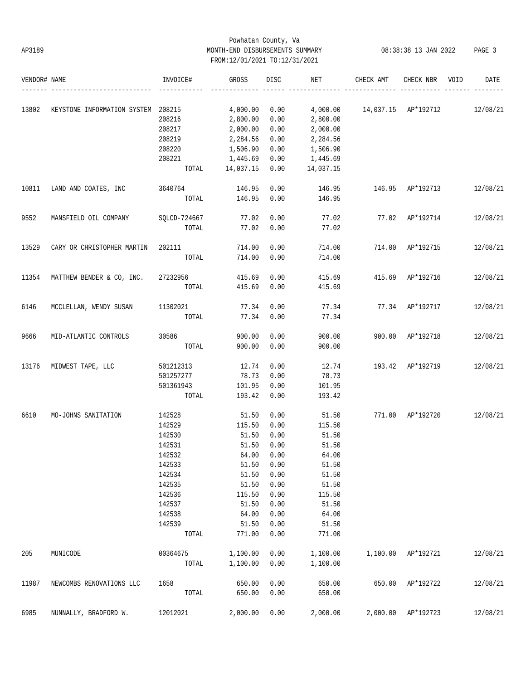# Powhatan County, Va AP3189 MONTH-END DISBURSEMENTS SUMMARY 08:38:38 13 JAN 2022 PAGE 3 FROM:12/01/2021 TO:12/31/2021

| VENDOR# NAME |                                    | INVOICE#         | GROSS                 | DISC         | NET                   | CHECK AMT                      | CHECK NBR        | VOID | DATE     |
|--------------|------------------------------------|------------------|-----------------------|--------------|-----------------------|--------------------------------|------------------|------|----------|
|              |                                    |                  |                       |              |                       |                                |                  |      |          |
| 13802        | KEYSTONE INFORMATION SYSTEM 208215 |                  | 4,000.00              | 0.00         |                       | 4,000.00  14,037.15  AP*192712 |                  |      | 12/08/21 |
|              |                                    | 208216           | 2,800.00              | 0.00         | 2,800.00              |                                |                  |      |          |
|              |                                    | 208217           | 2,000.00              | 0.00         | 2,000.00              |                                |                  |      |          |
|              |                                    | 208219           | 2,284.56              | 0.00         | 2,284.56              |                                |                  |      |          |
|              |                                    | 208220<br>208221 | 1,506.90              | 0.00<br>0.00 | 1,506.90              |                                |                  |      |          |
|              |                                    | TOTAL            | 1,445.69<br>14,037.15 | 0.00         | 1,445.69<br>14,037.15 |                                |                  |      |          |
|              |                                    |                  |                       |              |                       |                                |                  |      |          |
| 10811        | LAND AND COATES, INC               | 3640764          | 146.95                | 0.00         | 146.95                | 146.95                         | AP*192713        |      | 12/08/21 |
|              |                                    | TOTAL            | 146.95                | 0.00         | 146.95                |                                |                  |      |          |
| 9552         | MANSFIELD OIL COMPANY              | SQLCD-724667     | 77.02                 | 0.00         | 77.02                 |                                | 77.02 AP*192714  |      | 12/08/21 |
|              |                                    | TOTAL            | 77.02                 | 0.00         | 77.02                 |                                |                  |      |          |
|              |                                    |                  |                       |              |                       |                                |                  |      |          |
| 13529        | CARY OR CHRISTOPHER MARTIN         | 202111           | 714.00                | 0.00         | 714.00                | 714.00                         | AP*192715        |      | 12/08/21 |
|              |                                    | TOTAL            | 714.00                | 0.00         | 714.00                |                                |                  |      |          |
| 11354        | MATTHEW BENDER & CO, INC.          | 27232956         | 415.69                | 0.00         | 415.69                |                                | 415.69 AP*192716 |      | 12/08/21 |
|              |                                    | TOTAL            | 415.69                | 0.00         | 415.69                |                                |                  |      |          |
| 6146         | MCCLELLAN, WENDY SUSAN             | 11302021         | 77.34                 | 0.00         | 77.34                 |                                | 77.34 AP*192717  |      | 12/08/21 |
|              |                                    | TOTAL            | 77.34                 | 0.00         | 77.34                 |                                |                  |      |          |
|              |                                    |                  |                       |              |                       |                                |                  |      |          |
| 9666         | MID-ATLANTIC CONTROLS              | 30586            | 900.00                | 0.00         | 900.00                |                                | 900.00 AP*192718 |      | 12/08/21 |
|              |                                    | TOTAL            | 900.00                | 0.00         | 900.00                |                                |                  |      |          |
| 13176        | MIDWEST TAPE, LLC                  | 501212313        | 12.74                 | 0.00         | 12.74                 | 193.42                         | AP*192719        |      | 12/08/21 |
|              |                                    | 501257277        | 78.73                 | 0.00         | 78.73                 |                                |                  |      |          |
|              |                                    | 501361943        | 101.95                | 0.00         | 101.95                |                                |                  |      |          |
|              |                                    | TOTAL            | 193.42                | 0.00         | 193.42                |                                |                  |      |          |
| 6610         | MO-JOHNS SANITATION                | 142528           | 51.50                 | 0.00         | 51.50                 | 771.00                         | AP*192720        |      | 12/08/21 |
|              |                                    | 142529           | 115.50                | 0.00         | 115.50                |                                |                  |      |          |
|              |                                    | 142530           | 51.50                 | 0.00         | 51.50                 |                                |                  |      |          |
|              |                                    | 142531           | 51.50                 | 0.00         | 51.50                 |                                |                  |      |          |
|              |                                    | 142532           | 64.00                 | 0.00         | 64.00                 |                                |                  |      |          |
|              |                                    | 142533           | 51.50                 | 0.00         | 51.50                 |                                |                  |      |          |
|              |                                    | 142534           | 51.50                 | 0.00         | 51.50                 |                                |                  |      |          |
|              |                                    | 142535           | 51.50                 | 0.00         | 51.50                 |                                |                  |      |          |
|              |                                    | 142536           | 115.50                | 0.00         | 115.50                |                                |                  |      |          |
|              |                                    | 142537           | 51.50                 | 0.00         | 51.50                 |                                |                  |      |          |
|              |                                    | 142538           | 64.00                 | 0.00         | 64.00                 |                                |                  |      |          |
|              |                                    | 142539           | 51.50                 | 0.00         | 51.50                 |                                |                  |      |          |
|              |                                    | TOTAL            | 771.00                | 0.00         | 771.00                |                                |                  |      |          |
| 205          | MUNICODE                           | 00364675         | 1,100.00              | 0.00         | 1,100.00              | 1,100.00                       | AP*192721        |      | 12/08/21 |
|              |                                    | TOTAL            | 1,100.00              | 0.00         | 1,100.00              |                                |                  |      |          |
|              |                                    |                  |                       |              |                       |                                |                  |      |          |
| 11987        | NEWCOMBS RENOVATIONS LLC           | 1658             | 650.00                | 0.00         | 650.00                | 650.00                         | AP*192722        |      | 12/08/21 |
|              |                                    | TOTAL            | 650.00                | 0.00         | 650.00                |                                |                  |      |          |
| 6985         | NUNNALLY, BRADFORD W.              | 12012021         | 2,000.00              | 0.00         | 2,000.00              | 2,000.00                       | AP*192723        |      | 12/08/21 |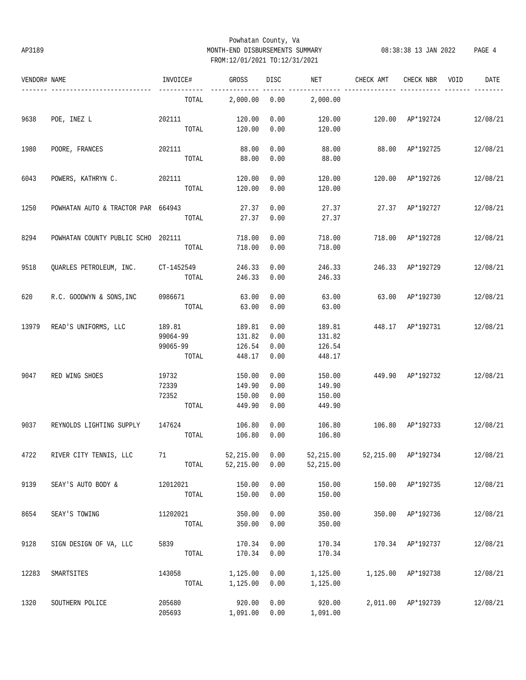## Powhatan County, Va AP3189 MONTH-END DISBURSEMENTS SUMMARY 08:38:38 13 JAN 2022 PAGE 4 FROM:12/01/2021 TO:12/31/2021

| VENDOR# NAME |                                    | INVOICE#                                | GROSS                                | DISC                         | NET                                  | CHECK AMT                     | CHECK NBR          | VOID | DATE     |
|--------------|------------------------------------|-----------------------------------------|--------------------------------------|------------------------------|--------------------------------------|-------------------------------|--------------------|------|----------|
|              | ---------------------              | TOTAL                                   | 2,000.00                             | 0.00                         | 2,000.00                             |                               |                    |      |          |
| 9638         | POE, INEZ L                        | 202111<br>TOTAL                         | 120.00<br>120.00                     | 0.00<br>0.00                 | 120.00<br>120.00                     | 120.00 AP*192724              |                    |      | 12/08/21 |
| 1980         | POORE, FRANCES                     | 202111<br>TOTAL                         | 88.00<br>88.00                       | 0.00<br>0.00                 | 88.00<br>88.00                       |                               | 88.00 AP*192725    |      | 12/08/21 |
| 6043         | POWERS, KATHRYN C. 202111          | TOTAL                                   | 120.00<br>120.00                     | 0.00<br>0.00                 | 120.00<br>120.00                     |                               | 120.00 AP*192726   |      | 12/08/21 |
| 1250         | POWHATAN AUTO & TRACTOR PAR 664943 | TOTAL                                   | 27.37                                | 0.00<br>27.37 0.00           | 27.37<br>27.37                       |                               | 27.37 AP*192727    |      | 12/08/21 |
| 8294         | POWHATAN COUNTY PUBLIC SCHO 202111 | TOTAL                                   | 718.00<br>718.00                     | 0.00<br>0.00                 | 718.00<br>718.00                     | 718.00 AP*192728              |                    |      | 12/08/21 |
| 9518         | QUARLES PETROLEUM, INC. CT-1452549 | TOTAL                                   | 246.33<br>246.33                     | 0.00<br>0.00                 | 246.33<br>246.33                     | 246.33 AP*192729              |                    |      | 12/08/21 |
| 620          | R.C. GOODWYN & SONS, INC 0986671   | TOTAL                                   | 63.00<br>63.00                       | 0.00<br>0.00                 | 63.00<br>63.00                       | 63.00 AP*192730               |                    |      | 12/08/21 |
| 13979        | READ'S UNIFORMS, LLC               | 189.81<br>99064-99<br>99065-99<br>TOTAL | 189.81<br>131.82<br>126.54<br>448.17 | 0.00<br>0.00<br>0.00<br>0.00 | 189.81<br>131.82<br>126.54<br>448.17 | 448.17 AP*192731              |                    |      | 12/08/21 |
| 9047         | RED WING SHOES                     | 19732<br>72339<br>72352<br>TOTAL        | 150.00<br>149.90<br>150.00<br>449.90 | 0.00<br>0.00<br>0.00<br>0.00 | 150.00<br>149.90<br>150.00<br>449.90 | 449.90 AP*192732              |                    |      | 12/08/21 |
| 9037         | REYNOLDS LIGHTING SUPPLY           | 147624<br>TOTAL                         | 106.80<br>106.80                     | 0.00<br>0.00                 | 106.80<br>106.80                     | 106.80 AP*192733              |                    |      | 12/08/21 |
|              | 4722 RIVER CITY TENNIS, LLC 71     | TOTAL                                   | 52,215.00 0.00<br>52,215.00          | 0.00                         | 52,215.00                            | 52,215.00 52,215.00 AP*192734 |                    |      | 12/08/21 |
| 9139         | SEAY'S AUTO BODY &                 | 12012021<br>TOTAL                       | 150.00<br>150.00                     | 0.00<br>0.00                 | 150.00<br>150.00                     |                               | 150.00 AP*192735   |      | 12/08/21 |
| 8654         | SEAY'S TOWING                      | 11202021<br>TOTAL                       | 350.00<br>350.00                     | 0.00<br>0.00                 | 350.00<br>350.00                     |                               | 350.00 AP*192736   |      | 12/08/21 |
| 9128         | SIGN DESIGN OF VA, LLC             | 5839<br>TOTAL                           | 170.34<br>170.34                     | 0.00<br>0.00                 | 170.34<br>170.34                     |                               | 170.34 AP*192737   |      | 12/08/21 |
| 12283        | SMARTSITES                         | 143058<br>TOTAL                         | 1,125.00<br>1,125.00                 | 0.00<br>0.00                 | 1,125.00<br>1,125.00                 | 1,125.00 AP*192738            |                    |      | 12/08/21 |
| 1320         | SOUTHERN POLICE                    | 205680<br>205693                        | 920.00<br>1,091.00                   | 0.00<br>0.00                 | 920.00<br>1,091.00                   |                               | 2,011.00 AP*192739 |      | 12/08/21 |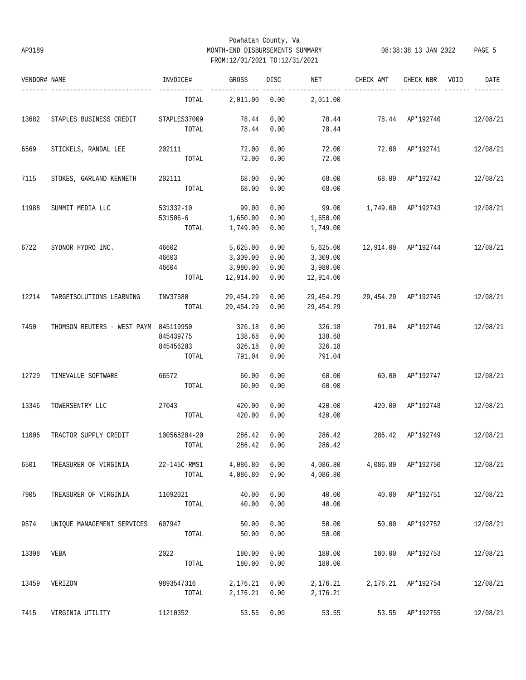## Powhatan County, Va AP3189 MONTH-END DISBURSEMENTS SUMMARY 08:38:38 13 JAN 2022 PAGE 5 FROM:12/01/2021 TO:12/31/2021

| VENDOR# NAME |                                       | INVOICE#              | GROSS                | DISC         | NET            | CHECK AMT           | CHECK NBR          | VOID | DATE     |
|--------------|---------------------------------------|-----------------------|----------------------|--------------|----------------|---------------------|--------------------|------|----------|
|              |                                       | TOTAL                 | 2,011.00             | 0.00         | 2,011.00       |                     |                    |      |          |
| 13682        | STAPLES BUSINESS CREDIT               | STAPLES37009<br>TOTAL | 78.44<br>78.44       | 0.00<br>0.00 | 78.44<br>78.44 | 78.44 AP*192740     |                    |      | 12/08/21 |
| 6569         | STICKELS, RANDAL LEE                  | 202111                | 72.00                | 0.00         | 72.00          |                     | 72.00 AP*192741    |      | 12/08/21 |
|              |                                       | TOTAL                 | 72.00                | 0.00         | 72.00          |                     |                    |      |          |
| 7115         | STOKES, GARLAND KENNETH               | 202111                | 68.00                | 0.00         | 68.00          | 68.00 AP*192742     |                    |      | 12/08/21 |
|              |                                       | TOTAL                 | 68.00                | 0.00         | 68.00          |                     |                    |      |          |
| 11988        | SUMMIT MEDIA LLC                      | 531332-10             | 99.00                | 0.00         | 99.00          | 1,749.00 AP*192743  |                    |      | 12/08/21 |
|              |                                       | 531506-6              | 1,650.00             | 0.00         | 1,650.00       |                     |                    |      |          |
|              |                                       | TOTAL                 | 1,749.00             | 0.00         | 1,749.00       |                     |                    |      |          |
| 6722         | SYDNOR HYDRO INC.                     | 46602                 | 5,625.00             | 0.00         | 5,625.00       | 12,914.00 AP*192744 |                    |      | 12/08/21 |
|              |                                       | 46603                 | 3,309.00             | 0.00         | 3,309.00       |                     |                    |      |          |
|              |                                       | 46604                 | 3,980.00             | 0.00         | 3,980.00       |                     |                    |      |          |
|              |                                       | TOTAL                 | 12,914.00            | 0.00         | 12,914.00      |                     |                    |      |          |
| 12214        | TARGETSOLUTIONS LEARNING              | INV37580              | 29,454.29 0.00       |              | 29,454.29      | 29,454.29 AP*192745 |                    |      | 12/08/21 |
|              |                                       |                       | TOTAL 29,454.29 0.00 |              | 29,454.29      |                     |                    |      |          |
| 7450         | THOMSON REUTERS - WEST PAYM 845119950 |                       | 326.18               | 0.00         | 326.18         | 791.04 AP*192746    |                    |      | 12/08/21 |
|              |                                       | 845439775             | 138.68               | 0.00         | 138.68         |                     |                    |      |          |
|              |                                       | 845456283             | 326.18               | 0.00         | 326.18         |                     |                    |      |          |
|              |                                       | TOTAL                 | 791.04               | 0.00         | 791.04         |                     |                    |      |          |
| 12729        | TIMEVALUE SOFTWARE                    | 66572                 | 60.00                | 0.00         | 60.00          |                     | 60.00 AP*192747    |      | 12/08/21 |
|              |                                       | TOTAL                 | 60.00                | 0.00         | 60.00          |                     |                    |      |          |
| 13346        | TOWERSENTRY LLC                       | 27043                 | 420.00               | 0.00         | 420.00         |                     | 420.00 AP*192748   |      | 12/08/21 |
|              |                                       | TOTAL                 | 420.00               | 0.00         | 420.00         |                     |                    |      |          |
| 11006        | TRACTOR SUPPLY CREDIT                 | 100568284-20          | 286.42               | 0.00         | 286.42         | 286.42              | AP*192749          |      | 12/08/21 |
|              |                                       | TOTAL                 | 286.42               | 0.00         | 286.42         |                     |                    |      |          |
| 6501         | TREASURER OF VIRGINIA                 | 22-145C-RMS1          | 4,086.80             | 0.00         | 4,086.80       |                     | 4,086.80 AP*192750 |      | 12/08/21 |
|              |                                       | TOTAL                 | 4,086.80             | 0.00         | 4,086.80       |                     |                    |      |          |
| 7905         | TREASURER OF VIRGINIA                 | 11092021              | 40.00                | 0.00         | 40.00          |                     | 40.00 AP*192751    |      | 12/08/21 |
|              |                                       | TOTAL                 | 40.00                | 0.00         | 40.00          |                     |                    |      |          |
| 9574         | UNIQUE MANAGEMENT SERVICES            | 607947                | 50.00                | 0.00         | 50.00          | 50.00               | AP*192752          |      | 12/08/21 |
|              |                                       | TOTAL                 | 50.00                | 0.00         | 50.00          |                     |                    |      |          |
| 13308        | VEBA                                  | 2022                  | 180.00               | 0.00         | 180.00         | 180.00              | AP*192753          |      | 12/08/21 |
|              |                                       | TOTAL                 | 180.00               | 0.00         | 180.00         |                     |                    |      |          |
| 13459        | VERIZON                               | 9893547316            | 2,176.21             | 0.00         | 2,176.21       |                     | 2,176.21 AP*192754 |      | 12/08/21 |
|              |                                       | TOTAL                 | 2,176.21             | 0.00         | 2,176.21       |                     |                    |      |          |
| 7415         | VIRGINIA UTILITY                      | 11210352              | 53.55                | 0.00         | 53.55          |                     | 53.55 AP*192755    |      | 12/08/21 |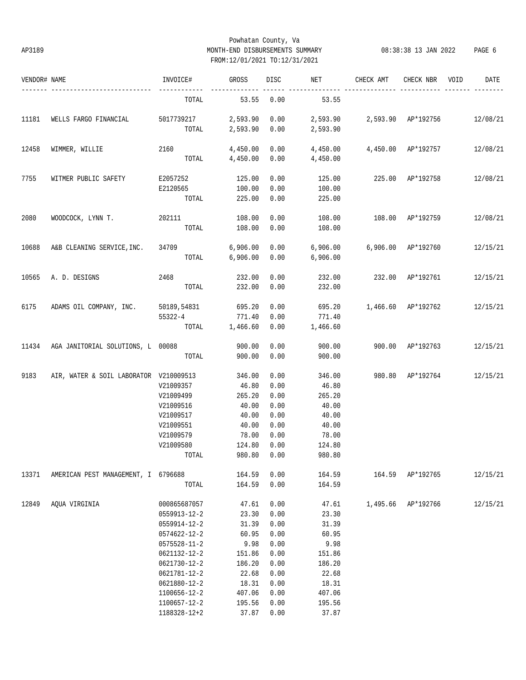## Powhatan County, Va AP3189 MONTH-END DISBURSEMENTS SUMMARY 08:38:38 13 JAN 2022 PAGE 6 FROM:12/01/2021 TO:12/31/2021

| VENDOR# NAME |                                                | INVOICE#            | GROSS          | DISC        | NET      | CHECK AMT                               | CHECK NBR        | VOID | DATE     |
|--------------|------------------------------------------------|---------------------|----------------|-------------|----------|-----------------------------------------|------------------|------|----------|
|              |                                                | TOTAL               | 53.55          | 0.00        | 53.55    |                                         |                  |      |          |
| 11181        | WELLS FARGO FINANCIAL                          | 5017739217 2,593.90 |                | 0.00        |          | 2,593.90  2,593.90  AP*192756  12/08/21 |                  |      |          |
|              |                                                | TOTAL               | 2,593.90       | 0.00        | 2,593.90 |                                         |                  |      |          |
| 12458        | WIMMER, WILLIE                                 | 2160                | 4,450.00       | 0.00        |          | 4,450.00  4,450.00  AP*192757           |                  |      | 12/08/21 |
|              |                                                |                     | TOTAL 4,450.00 | 0.00        | 4,450.00 |                                         |                  |      |          |
| 7755         | WITMER PUBLIC SAFETY                           | E2057252            | 125.00         | 0.00        | 125.00   | 225.00 AP*192758                        |                  |      | 12/08/21 |
|              |                                                | E2120565            | 100.00         | 0.00        | 100.00   |                                         |                  |      |          |
|              |                                                | TOTAL               | 225.00         | 0.00        | 225.00   |                                         |                  |      |          |
| 2080         | WOODCOCK, LYNN T.                              | 202111              | 108.00         | 0.00        | 108.00   | 108.00 AP*192759                        |                  |      | 12/08/21 |
|              |                                                | TOTAL               | 108.00         | 0.00        | 108.00   |                                         |                  |      |          |
| 10688        | A&B CLEANING SERVICE, INC.                     | 34709               | 6,906.00       | 0.00        |          | 6,906.00   6,906.00   AP*192760         |                  |      | 12/15/21 |
|              |                                                |                     | TOTAL 6,906.00 | 0.00        | 6,906.00 |                                         |                  |      |          |
| 10565        | A. D. DESIGNS                                  | 2468                | 232.00         | 0.00        | 232.00   |                                         | 232.00 AP*192761 |      | 12/15/21 |
|              |                                                | TOTAL               | 232.00         | 0.00        | 232.00   |                                         |                  |      |          |
| 6175         | ADAMS OIL COMPANY, INC. 50189,54831            |                     | 695.20         | 0.00        | 695.20   | 1,466.60 AP*192762                      |                  |      | 12/15/21 |
|              |                                                | 55322-4             | 771.40         | 0.00        | 771.40   |                                         |                  |      |          |
|              |                                                |                     | TOTAL 1,466.60 | 0.00        | 1,466.60 |                                         |                  |      |          |
|              | 11434 AGA JANITORIAL SOLUTIONS, L 00088 900.00 |                     |                | 0.00        | 900.00   | 900.00 AP*192763                        |                  |      | 12/15/21 |
|              |                                                | TOTAL               | 900.00         | 0.00        | 900.00   |                                         |                  |      |          |
| 9183         | AIR, WATER & SOIL LABORATOR V210009513         |                     | 346.00         | 0.00        | 346.00   | 980.80 AP*192764                        |                  |      | 12/15/21 |
|              |                                                | V21009357           | 46.80          | 0.00        | 46.80    |                                         |                  |      |          |
|              |                                                | V21009499           | 265.20         | 0.00        | 265.20   |                                         |                  |      |          |
|              |                                                | V21009516           | 40.00          | 0.00        | 40.00    |                                         |                  |      |          |
|              |                                                | V21009517           | 40.00          | 0.00        | 40.00    |                                         |                  |      |          |
|              |                                                | V21009551           | 40.00          | 0.00        | 40.00    |                                         |                  |      |          |
|              |                                                | V21009579           | 78.00          | 0.00        | 78.00    |                                         |                  |      |          |
|              |                                                | V21009580           | 124.80         | 0.00        | 124.80   |                                         |                  |      |          |
|              |                                                | TOTAL               |                | 980.80 0.00 | 980.80   |                                         |                  |      |          |
| 13371        | AMERICAN PEST MANAGEMENT, I 6796688            |                     | 164.59         | 0.00        |          | 164.59 164.59 AP*192765                 |                  |      | 12/15/21 |
|              |                                                | TOTAL               | 164.59 0.00    |             | 164.59   |                                         |                  |      |          |
| 12849        | AOUA VIRGINIA                                  | 000865687057        | 47.61          | 0.00        | 47.61    | 1,495.66 AP*192766                      |                  |      | 12/15/21 |
|              |                                                | 0559913-12-2        | 23.30          | 0.00        | 23.30    |                                         |                  |      |          |
|              |                                                | 0559914-12-2        | 31.39          | 0.00        | 31.39    |                                         |                  |      |          |
|              |                                                | 0574622-12-2        | 60.95          | 0.00        | 60.95    |                                         |                  |      |          |
|              |                                                | 0575528-11-2        | 9.98           | 0.00        | 9.98     |                                         |                  |      |          |
|              |                                                | 0621132-12-2        | 151.86         | 0.00        | 151.86   |                                         |                  |      |          |
|              |                                                | 0621730-12-2        | 186.20         | 0.00        | 186.20   |                                         |                  |      |          |
|              |                                                | 0621781-12-2        | 22.68          | 0.00        | 22.68    |                                         |                  |      |          |
|              |                                                | 0621880-12-2        | 18.31          | 0.00        | 18.31    |                                         |                  |      |          |
|              |                                                | 1100656-12-2        | 407.06         | 0.00        | 407.06   |                                         |                  |      |          |
|              |                                                | 1100657-12-2        | 195.56         | 0.00        | 195.56   |                                         |                  |      |          |
|              |                                                | 1188328-12+2        | 37.87          | 0.00        | 37.87    |                                         |                  |      |          |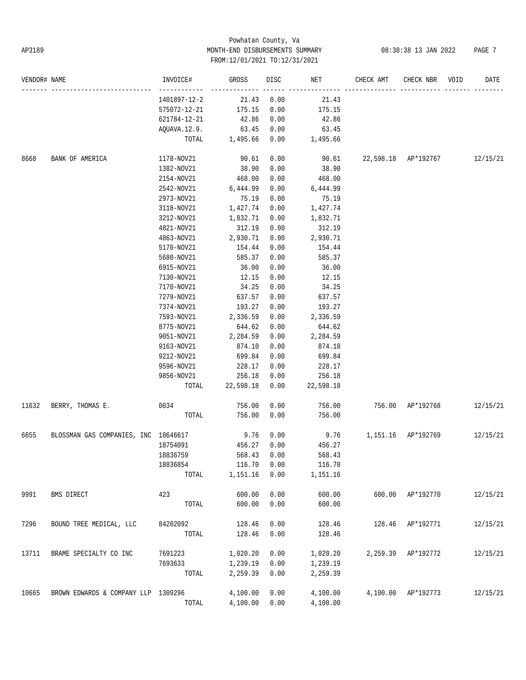# Powhatan County, Va AP3189 MONTH-END DISBURSEMENTS SUMMARY 08:38:38 13 JAN 2022 PAGE 7 FROM:12/01/2021 TO:12/31/2021

| VENDOR# NAME |                                           | INVOICE#            | GROSS               | DISC         | NET                 | CHECK AMT                             | CHECK NBR | VOID | DATE     |
|--------------|-------------------------------------------|---------------------|---------------------|--------------|---------------------|---------------------------------------|-----------|------|----------|
|              |                                           | 1401897-12-2        | 21.43               | 0.00         | 21.43               |                                       |           |      |          |
|              |                                           | 575072-12-21        | 175.15              | 0.00         | 175.15              |                                       |           |      |          |
|              |                                           | 621784-12-21        | 42.86               | 0.00         | 42.86               |                                       |           |      |          |
|              |                                           | AQUAVA.12.9.        | 63.45               | 0.00         | 63.45               |                                       |           |      |          |
|              |                                           | TOTAL               | 1,495.66            | 0.00         | 1,495.66            |                                       |           |      |          |
| 8668         | BANK OF AMERICA                           | 1178-NOV21          | 90.61               | 0.00         |                     | 90.61  22,598.18  AP*192767  12/15/21 |           |      |          |
|              |                                           | 1382-NOV21          | 38.90               | 0.00         | 38.90               |                                       |           |      |          |
|              |                                           | 2154-NOV21          | 468.00              | 0.00         | 468.00              |                                       |           |      |          |
|              |                                           | 2542-NOV21          | 6,444.99            | 0.00         | 6,444.99            |                                       |           |      |          |
|              |                                           | 2973-NOV21          | 75.19               | 0.00         | 75.19               |                                       |           |      |          |
|              |                                           | 3118-NOV21          | 1,427.74            | 0.00         | 1,427.74            |                                       |           |      |          |
|              |                                           | 3212-NOV21          | 1,832.71            | 0.00         | 1,832.71            |                                       |           |      |          |
|              |                                           | 4821-NOV21          | 312.19              | 0.00         | 312.19              |                                       |           |      |          |
|              |                                           | 4863-NOV21          | 2,930.71            | 0.00         | 2,930.71            |                                       |           |      |          |
|              |                                           | 5170-NOV21          | 154.44              | 0.00         | 154.44              |                                       |           |      |          |
|              |                                           | 5680-NOV21          | 585.37              | 0.00         | 585.37              |                                       |           |      |          |
|              |                                           | 6915-NOV21          | 36.00               | 0.00         | 36.00               |                                       |           |      |          |
|              |                                           | 7130-NOV21          | 12.15               | 0.00         | 12.15               |                                       |           |      |          |
|              |                                           | 7170-NOV21          | 34.25               | 0.00         | 34.25               |                                       |           |      |          |
|              |                                           | 7279-NOV21          | 637.57              | 0.00         | 637.57              |                                       |           |      |          |
|              |                                           | 7374-NOV21          | 193.27              | 0.00         | 193.27              |                                       |           |      |          |
|              |                                           | 7593-NOV21          | 2,336.59            | 0.00         | 2,336.59            |                                       |           |      |          |
|              |                                           | 8775-NOV21          | 644.62              | 0.00         | 644.62              |                                       |           |      |          |
|              |                                           | 9051-NOV21          | 2,284.59            | 0.00         | 2,284.59            |                                       |           |      |          |
|              |                                           | 9163-NOV21          | 874.10              | 0.00         | 874.10              |                                       |           |      |          |
|              |                                           |                     | 699.84              | 0.00         | 699.84              |                                       |           |      |          |
|              |                                           | 9212-NOV21          |                     |              |                     |                                       |           |      |          |
|              |                                           | 9596-NOV21          | 228.17              | 0.00         | 228.17              |                                       |           |      |          |
|              |                                           | 9856-NOV21<br>TOTAL | 256.18<br>22,598.18 | 0.00<br>0.00 | 256.18<br>22,598.18 |                                       |           |      |          |
|              |                                           |                     |                     |              |                     |                                       |           |      |          |
| 11632        | BERRY, THOMAS E.                          | 0034                | 756.00              | 0.00         | 756.00              | 756.00 AP*192768                      |           |      | 12/15/21 |
|              |                                           | TOTAL               | 756.00              | 0.00         | 756.00              |                                       |           |      |          |
| 6655         | BLOSSMAN GAS COMPANIES, INC 18646617 9.76 |                     |                     | 0.00         |                     | 9.76 1,151.16 AP*192769               |           |      | 12/15/21 |
|              |                                           | 18754091            | 456.27              | 0.00         | 456.27              |                                       |           |      |          |
|              |                                           | 18836759            | 568.43              | 0.00         | 568.43              |                                       |           |      |          |
|              |                                           | 18836854            | 116.70              | 0.00         | 116.70              |                                       |           |      |          |
|              |                                           | TOTAL               | 1,151.16            | 0.00         | 1,151.16            |                                       |           |      |          |
| 9991         | BMS DIRECT                                | 423                 | 600.00              | 0.00         | 600.00              | 600.00                                | AP*192770 |      | 12/15/21 |
|              |                                           | TOTAL               | 600.00              | 0.00         | 600.00              |                                       |           |      |          |
| 7296         | BOUND TREE MEDICAL, LLC                   | 84202092            | 128.46              | 0.00         | 128.46              | 128.46                                | AP*192771 |      | 12/15/21 |
|              |                                           | TOTAL               | 128.46              | 0.00         | 128.46              |                                       |           |      |          |
| 13711        | BRAME SPECIALTY CO INC                    | 7691223             | 1,020.20            | 0.00         | 1,020.20            | 2,259.39                              | AP*192772 |      | 12/15/21 |
|              |                                           | 7693633             | 1,239.19            | 0.00         | 1,239.19            |                                       |           |      |          |
|              |                                           | TOTAL               | 2,259.39            | 0.00         | 2,259.39            |                                       |           |      |          |
| 10665        | BROWN EDWARDS & COMPANY LLP 1309296       |                     | 4,100.00            | 0.00         | 4,100.00            | 4,100.00                              | AP*192773 |      | 12/15/21 |
|              |                                           | TOTAL               | 4,100.00            | 0.00         | 4,100.00            |                                       |           |      |          |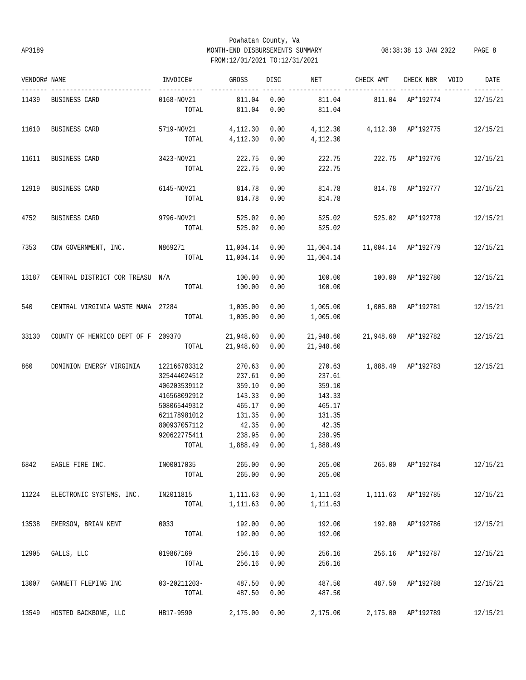# Powhatan County, Va AP3189 MONTH-END DISBURSEMENTS SUMMARY 08:38:38 13 JAN 2022 PAGE 8 FROM:12/01/2021 TO:12/31/2021

| VENDOR# NAME |                                             | INVOICE#                            | <b>GROSS</b>         | DISC         | NET                                              | CHECK AMT                          | CHECK NBR VOID     | DATE     |
|--------------|---------------------------------------------|-------------------------------------|----------------------|--------------|--------------------------------------------------|------------------------------------|--------------------|----------|
|              | 11439 BUSINESS CARD                         | ------------<br>0168-NOV21<br>TOTAL | 811.04<br>811.04     | 0.00<br>0.00 | 811.04                                           | 811.04   811.04   AP*192774        |                    | 12/15/21 |
|              |                                             |                                     |                      |              |                                                  |                                    |                    |          |
| 11610        | BUSINESS CARD                               | 5719-NOV21 4,112.30 0.00            |                      |              | 4, 112.30  4, 112.30  AP*192775  12/15/21        |                                    |                    |          |
|              |                                             |                                     | TOTAL 4,112.30 0.00  |              | 4,112.30                                         |                                    |                    |          |
| 11611        | BUSINESS CARD                               | 3423-NOV21                          | 222.75 0.00          |              |                                                  | 222.75   222.75   AP*192776        |                    | 12/15/21 |
|              |                                             | TOTAL                               | 222.75               | 0.00         | 222.75                                           |                                    |                    |          |
| 12919        | BUSINESS CARD                               | 6145-NOV21                          | 814.78               | 0.00         |                                                  | 814.78   814.78   AP*192777        |                    | 12/15/21 |
|              |                                             | TOTAL                               | 814.78 0.00          |              | 814.78                                           |                                    |                    |          |
| 4752         | BUSINESS CARD                               | 9796-NOV21 525.02                   |                      | 0.00         |                                                  | 525.02 525.02 AP*192778            |                    | 12/15/21 |
|              |                                             |                                     | TOTAL 525.02 0.00    |              | 525.02                                           |                                    |                    |          |
| 7353         | CDW GOVERNMENT, INC. N869271 11,004.14 0.00 |                                     |                      |              |                                                  |                                    |                    | 12/15/21 |
|              |                                             |                                     | TOTAL 11,004.14 0.00 |              | 11,004.14                                        |                                    |                    |          |
| 13187        | CENTRAL DISTRICT COR TREASU N/A             |                                     | 100.00               | 0.00         |                                                  |                                    |                    | 12/15/21 |
|              |                                             | TOTAL                               | 100.00               | 0.00         | 100.00                                           |                                    |                    |          |
| 540          | CENTRAL VIRGINIA WASTE MANA 27284           |                                     |                      |              | $1,005.00$ 0.00 1,005.00 1,005.00 AP*192781      |                                    |                    | 12/15/21 |
|              |                                             |                                     | TOTAL 1,005.00 0.00  |              | 1,005.00                                         |                                    |                    |          |
| 33130        | COUNTY OF HENRICO DEPT OF F 209370          |                                     |                      |              | 21,948.60  0.00  21,948.60  21,948.60  AP*192782 |                                    |                    | 12/15/21 |
|              |                                             |                                     |                      |              | TOTAL 21,948.60 0.00 21,948.60                   |                                    |                    |          |
| 860          | DOMINION ENERGY VIRGINIA                    | 122166783312                        | 270.63               | 0.00         |                                                  | 270.63 1,888.49 AP*192783 12/15/21 |                    |          |
|              |                                             | 325444024512                        | 237.61               | 0.00         | 237.61                                           |                                    |                    |          |
|              |                                             | 406203539112                        | 359.10               | 0.00         | 359.10                                           |                                    |                    |          |
|              |                                             | 416568092912                        | 143.33               | 0.00         | 143.33                                           |                                    |                    |          |
|              |                                             | 508065449312                        | 465.17               | 0.00         | 465.17                                           |                                    |                    |          |
|              |                                             | 621178981012                        | 131.35               | 0.00         | 131.35                                           |                                    |                    |          |
|              |                                             | 800937057112                        | 42.35                | 0.00         | 42.35                                            |                                    |                    |          |
|              |                                             | 920622775411                        | 238.95               | 0.00         | 238.95                                           |                                    |                    |          |
|              |                                             |                                     | TOTAL 1,888.49 0.00  |              | 1,888.49                                         |                                    |                    |          |
| 6842         | EAGLE FIRE INC.                             | IN00017035                          | 265.00               | 0.00         | 265.00                                           |                                    | 265.00 AP*192784   | 12/15/21 |
|              |                                             | TOTAL                               | 265.00               | 0.00         | 265.00                                           |                                    |                    |          |
| 11224        | ELECTRONIC SYSTEMS, INC.                    | IN2011815                           | 1,111.63             | 0.00         | 1,111.63                                         | 1,111.63 AP*192785                 |                    | 12/15/21 |
|              |                                             | TOTAL                               | 1,111.63             | 0.00         | 1,111.63                                         |                                    |                    |          |
| 13538        | EMERSON, BRIAN KENT                         | 0033                                | 192.00               | 0.00         | 192.00                                           |                                    | 192.00 AP*192786   | 12/15/21 |
|              |                                             | TOTAL                               | 192.00               | 0.00         | 192.00                                           |                                    |                    |          |
| 12905        | GALLS, LLC                                  | 019867169                           | 256.16               | 0.00         | 256.16                                           | 256.16                             | AP*192787          | 12/15/21 |
|              |                                             | TOTAL                               | 256.16               | 0.00         | 256.16                                           |                                    |                    |          |
| 13007        | GANNETT FLEMING INC                         | 03-20211203-                        | 487.50               | 0.00         | 487.50                                           |                                    | 487.50 AP*192788   | 12/15/21 |
|              |                                             | TOTAL                               | 487.50               | 0.00         | 487.50                                           |                                    |                    |          |
| 13549        | HOSTED BACKBONE, LLC                        | HB17-9590                           | 2,175.00             | 0.00         | 2,175.00                                         |                                    | 2,175.00 AP*192789 | 12/15/21 |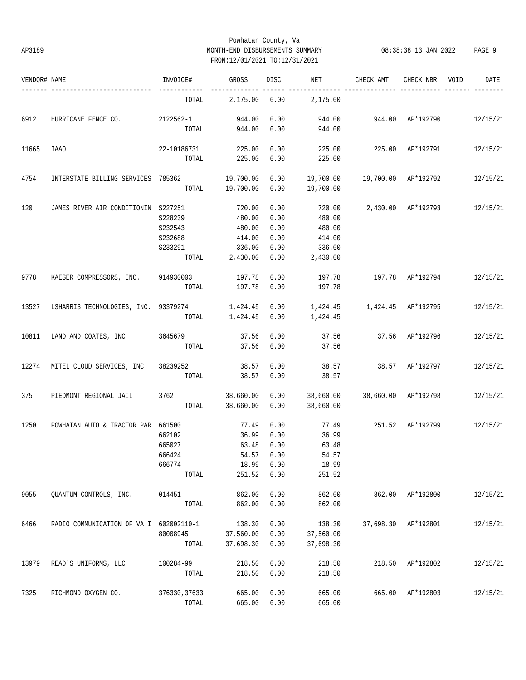## Powhatan County, Va AP3189 MONTH-END DISBURSEMENTS SUMMARY 08:38:38 13 JAN 2022 PAGE 9 FROM:12/01/2021 TO:12/31/2021

| VENDOR# NAME |                                              | INVOICE#                                      | GROSS                                                            | DISC                                         | NET                                                            | CHECK AMT                           | CHECK NBR           | VOID | DATE     |
|--------------|----------------------------------------------|-----------------------------------------------|------------------------------------------------------------------|----------------------------------------------|----------------------------------------------------------------|-------------------------------------|---------------------|------|----------|
|              |                                              | TOTAL                                         | 2,175.00                                                         |                                              | $0.00$ 2,175.00                                                |                                     |                     |      |          |
| 6912         | HURRICANE FENCE CO. 2122562-1 944.00         | TOTAL                                         | 944.00                                                           | 0.00<br>0.00                                 | 944.00<br>944.00                                               | 944.00 AP*192790 12/15/21           |                     |      |          |
| 11665        | <b>IAAO</b>                                  | 22-10186731<br>TOTAL                          | 225.00<br>225.00                                                 | 0.00<br>0.00                                 | 225.00<br>225.00                                               | 225.00 AP*192791                    |                     |      | 12/15/21 |
| 4754         | INTERSTATE BILLING SERVICES 785362 19,700.00 | TOTAL                                         | 19,700.00                                                        | 0.00<br>0.00                                 | 19,700.00                                                      | 19,700.00    19,700.00    AP*192792 |                     |      | 12/15/21 |
| 120          | JAMES RIVER AIR CONDITIONIN S227251          | S228239<br>S232543<br>S232688<br>S233291      | 720.00<br>480.00<br>480.00<br>414.00<br>336.00<br>TOTAL 2,430.00 | 0.00<br>0.00<br>0.00<br>0.00<br>0.00<br>0.00 | 720.00<br>480.00<br>480.00<br>414.00<br>336.00<br>2,430.00     | 2,430.00 AP*192793                  |                     |      | 12/15/21 |
| 9778         | KAESER COMPRESSORS, INC. 914930003           | TOTAL                                         | 197.78<br>197.78                                                 | 0.00<br>0.00                                 | 197.78<br>197.78                                               | 197.78 AP*192794                    |                     |      | 12/15/21 |
| 13527        | L3HARRIS TECHNOLOGIES, INC. 93379274         | TOTAL                                         | 1,424.45 0.00<br>1,424.45                                        | 0.00                                         | 1,424.45   1,424.45   AP*192795<br>1,424.45                    |                                     |                     |      | 12/15/21 |
| 10811        | LAND AND COATES, INC 3645679                 | TOTAL                                         | 37.56<br>37.56                                                   | 0.00<br>0.00                                 | 37.56<br>37.56                                                 | 37.56 AP*192796                     |                     |      | 12/15/21 |
| 12274        | MITEL CLOUD SERVICES, INC 38239252           | TOTAL                                         | 38.57<br>38.57                                                   | 0.00<br>0.00                                 | 38.57<br>38.57                                                 | 38.57 AP*192797                     |                     |      | 12/15/21 |
| 375          | PIEDMONT REGIONAL JAIL                       | 3762 38,660.00                                | TOTAL 38,660.00                                                  | 0.00<br>0.00                                 | 38,660.00 38,660.00 AP*192798<br>38,660.00                     |                                     |                     |      | 12/15/21 |
| 1250         | POWHATAN AUTO & TRACTOR PAR 661500           | 662102<br>665027<br>666424<br>666774<br>TOTAL | 77.49<br>36.99<br>63.48<br>18.99<br>251.52                       | 0.00<br>0.00<br>0.00<br>0.00<br>0.00         | 77.49<br>36.99<br>63.48<br>54.57 0.00 54.57<br>18.99<br>251.52 | 251.52 AP*192799                    |                     |      | 12/15/21 |
| 9055         | QUANTUM CONTROLS, INC.                       | 014451<br>TOTAL                               | 862.00<br>862.00                                                 | 0.00<br>0.00                                 | 862.00<br>862.00                                               |                                     | 862.00 AP*192800    |      | 12/15/21 |
| 6466         | RADIO COMMUNICATION OF VA I 602002110-1      | 80008945<br>TOTAL                             | 138.30<br>37,560.00<br>37,698.30                                 | 0.00<br>0.00<br>0.00                         | 138.30<br>37,560.00<br>37,698.30                               |                                     | 37,698.30 AP*192801 |      | 12/15/21 |
| 13979        | READ'S UNIFORMS, LLC                         | 100284-99<br>TOTAL                            | 218.50<br>218.50                                                 | 0.00<br>0.00                                 | 218.50<br>218.50                                               | 218.50                              | AP*192802           |      | 12/15/21 |
| 7325         | RICHMOND OXYGEN CO.                          | 376330, 37633<br>TOTAL                        | 665.00<br>665.00                                                 | 0.00<br>0.00                                 | 665.00<br>665.00                                               | 665.00                              | AP*192803           |      | 12/15/21 |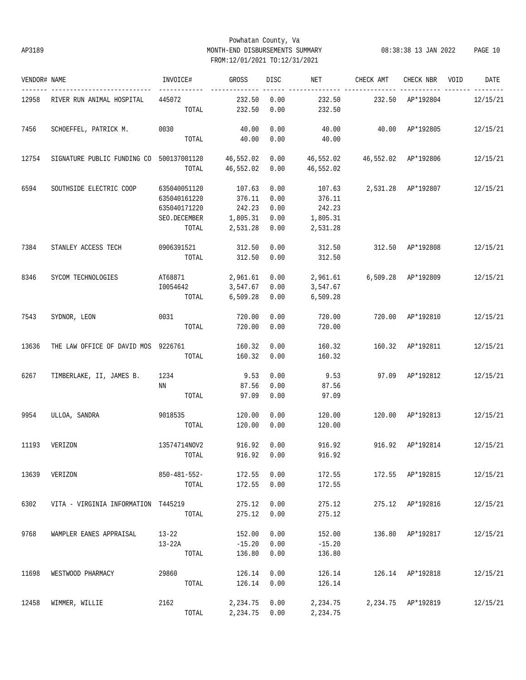# Powhatan County, Va AP3189 MONTH-END DISBURSEMENTS SUMMARY 08:38:38 13 JAN 2022 PAGE 10 FROM:12/01/2021 TO:12/31/2021

| VENDOR# NAME |                                                                                        | INVOICE#                        | GROSS                              | DISC         | <b>NET</b>                        | CHECK AMT                 | CHECK NBR VOID     | DATE     |
|--------------|----------------------------------------------------------------------------------------|---------------------------------|------------------------------------|--------------|-----------------------------------|---------------------------|--------------------|----------|
| 12958        | RIVER RUN ANIMAL HOSPITAL                                                              | ------------<br>445072<br>TOTAL | --------------<br>232.50<br>232.50 | 0.00<br>0.00 | 232.50<br>232.50                  | 232.50 AP*192804          |                    | 12/15/21 |
| 7456         | SCHOEFFEL, PATRICK M.                                                                  | 0030                            | 40.00                              | 0.00         | 40.00                             | 40.00 AP*192805           |                    | 12/15/21 |
|              |                                                                                        |                                 | TOTAL 40.00                        | 0.00         | 40.00                             |                           |                    |          |
| 12754        | SIGNATURE PUBLIC FUNDING CO 500137001120 46,552.02 0.00 46,552.02 46,5552.02 AP*192806 |                                 |                                    |              |                                   |                           |                    | 12/15/21 |
|              |                                                                                        | TOTAL                           | 46,552.02                          | 0.00         | 46,552.02                         |                           |                    |          |
| 6594         | SOUTHSIDE ELECTRIC COOP                                                                | 635040051120                    | 107.63                             | 0.00         |                                   | 107.63 2,531.28 AP*192807 |                    | 12/15/21 |
|              |                                                                                        | 635040161220                    | 376.11                             | 0.00         | 376.11                            |                           |                    |          |
|              |                                                                                        | 635040171220                    | 242.23                             | 0.00         | 242.23                            |                           |                    |          |
|              |                                                                                        | SEO.DECEMBER                    | 1,805.31                           | 0.00         | 1,805.31                          |                           |                    |          |
|              |                                                                                        | TOTAL                           | 2,531.28                           | 0.00         | 2,531.28                          |                           |                    |          |
| 7384         | STANLEY ACCESS TECH                                                                    | 0906391521 312.50               |                                    | 0.00         | 312.50                            | 312.50 AP*192808          |                    | 12/15/21 |
|              |                                                                                        | TOTAL                           | 312.50                             | 0.00         | 312.50                            |                           |                    |          |
| 8346         | SYCOM TECHNOLOGIES                                                                     | AT68871                         | 2,961.61                           | 0.00         | 2,961.61    6,509.28    AP*192809 |                           |                    | 12/15/21 |
|              |                                                                                        | I0054642                        | 3,547.67                           | 0.00         | 3,547.67                          |                           |                    |          |
|              |                                                                                        | TOTAL                           | 6,509.28                           | 0.00         | 6,509.28                          |                           |                    |          |
| 7543         | SYDNOR, LEON                                                                           | 0031                            | 720.00                             | 0.00         | 720.00                            |                           | 720.00 AP*192810   | 12/15/21 |
|              |                                                                                        | TOTAL                           | 720.00                             | 0.00         | 720.00                            |                           |                    |          |
| 13636        | THE LAW OFFICE OF DAVID MOS 9226761                                                    |                                 | 160.32                             | 0.00         | 160.32                            | 160.32 AP*192811          |                    | 12/15/21 |
|              |                                                                                        | TOTAL                           | 160.32                             | 0.00         | 160.32                            |                           |                    |          |
| 6267         | TIMBERLAKE, II, JAMES B.                                                               | 1234                            | 9.53                               | 0.00         | 9.53                              |                           | 97.09 AP*192812    | 12/15/21 |
|              |                                                                                        | NN                              | 87.56                              | 0.00         | 87.56                             |                           |                    |          |
|              |                                                                                        | TOTAL                           | 97.09                              | 0.00         | 97.09                             |                           |                    |          |
| 9954         | ULLOA, SANDRA                                                                          | 9018535                         | 120.00                             | 0.00         | 120.00                            | 120.00 AP*192813          |                    | 12/15/21 |
|              |                                                                                        | TOTAL                           | 120.00                             | 0.00         | 120.00                            |                           |                    |          |
| 11193        | VERIZON                                                                                | 13574714NOV2                    | 916.92                             | 0.00         | 916.92                            | 916.92 AP*192814          |                    | 12/15/21 |
|              |                                                                                        | TOTAL                           |                                    | 916.92 0.00  | 916.92                            |                           |                    |          |
| 13639        | VERIZON                                                                                | 850-481-552-                    | 172.55                             | 0.00         | 172.55                            |                           | 172.55 AP*192815   | 12/15/21 |
|              |                                                                                        | TOTAL                           | 172.55                             | 0.00         | 172.55                            |                           |                    |          |
| 6302         | VITA - VIRGINIA INFORMATION T445219                                                    |                                 | 275.12                             | 0.00         | 275.12                            |                           | 275.12 AP*192816   | 12/15/21 |
|              |                                                                                        | TOTAL                           | 275.12                             | 0.00         | 275.12                            |                           |                    |          |
| 9768         | WAMPLER EANES APPRAISAL                                                                | $13 - 22$                       | 152.00                             | 0.00         | 152.00                            |                           | 136.80 AP*192817   | 12/15/21 |
|              |                                                                                        | 13-22A                          | $-15.20$                           | 0.00         | $-15.20$                          |                           |                    |          |
|              |                                                                                        | TOTAL                           | 136.80                             | 0.00         | 136.80                            |                           |                    |          |
| 11698        | WESTWOOD PHARMACY                                                                      | 29860                           | 126.14                             | 0.00         | 126.14                            |                           | 126.14 AP*192818   | 12/15/21 |
|              |                                                                                        | TOTAL                           | 126.14                             | 0.00         | 126.14                            |                           |                    |          |
|              |                                                                                        |                                 |                                    |              |                                   |                           |                    |          |
| 12458        | WIMMER, WILLIE                                                                         | 2162                            | 2,234.75                           | 0.00         | 2,234.75                          |                           | 2,234.75 AP*192819 | 12/15/21 |
|              |                                                                                        | TOTAL                           | 2,234.75                           | 0.00         | 2,234.75                          |                           |                    |          |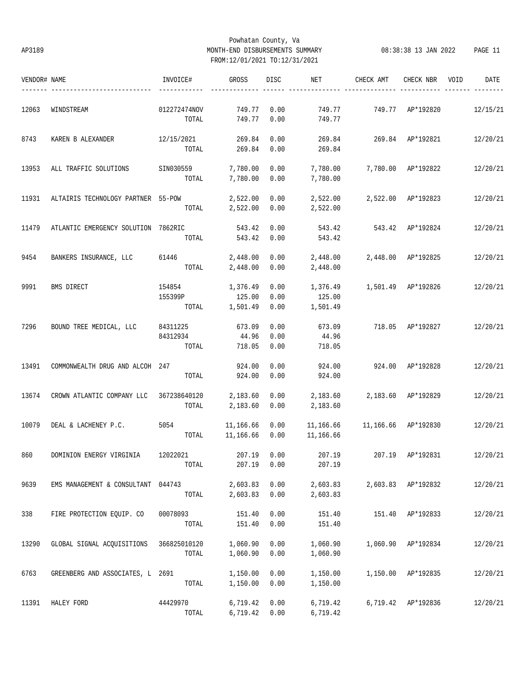# Powhatan County, Va AP3189 MONTH-END DISBURSEMENTS SUMMARY 08:38:38 13 JAN 2022 PAGE 11 FROM:12/01/2021 TO:12/31/2021

| VENDOR# NAME |                                         | INVOICE#          | GROSS              | DISC         | NET                | CHECK AMT           | CHECK NBR                 | VOID | DATE     |
|--------------|-----------------------------------------|-------------------|--------------------|--------------|--------------------|---------------------|---------------------------|------|----------|
| 12063        | WINDSTREAM                              | 012272474NOV      | 749.77             | 0.00         | 749.77             | 749.77              | AP*192820                 |      | 12/15/21 |
|              |                                         | TOTAL             | 749.77             | 0.00         | 749.77             |                     |                           |      |          |
| 8743         | KAREN B ALEXANDER                       | 12/15/2021        | 269.84             | 0.00         | 269.84             |                     | 269.84 AP*192821          |      | 12/20/21 |
|              |                                         | TOTAL             | 269.84             | 0.00         | 269.84             |                     |                           |      |          |
| 13953        | ALL TRAFFIC SOLUTIONS                   | SIN030559         | 7,780.00           | 0.00         | 7,780.00           |                     | 7,780.00 AP*192822        |      | 12/20/21 |
|              |                                         | TOTAL             | 7,780.00           | 0.00         | 7,780.00           |                     |                           |      |          |
| 11931        | ALTAIRIS TECHNOLOGY PARTNER 55-POW      |                   | 2,522.00           | 0.00         | 2,522.00           |                     | 2,522.00 AP*192823        |      | 12/20/21 |
|              |                                         | TOTAL             | 2,522.00           | 0.00         | 2,522.00           |                     |                           |      |          |
| 11479        | ATLANTIC EMERGENCY SOLUTION 7862RIC     |                   | 543.42             | 0.00         | 543.42             | 543.42              | AP*192824                 |      | 12/20/21 |
|              |                                         | TOTAL             | 543.42             | 0.00         | 543.42             |                     |                           |      |          |
| 9454         | BANKERS INSURANCE, LLC                  | 61446             | 2,448.00           | 0.00         | 2,448.00           |                     | 2,448.00 AP*192825        |      | 12/20/21 |
|              |                                         | TOTAL             | 2,448.00           | 0.00         | 2,448.00           |                     |                           |      |          |
|              |                                         |                   |                    |              |                    |                     |                           |      |          |
| 9991         | BMS DIRECT                              | 154854<br>155399P | 1,376.49<br>125.00 | 0.00<br>0.00 | 1,376.49<br>125.00 |                     | 1,501.49 AP*192826        |      | 12/20/21 |
|              |                                         | TOTAL             | 1,501.49           | 0.00         | 1,501.49           |                     |                           |      |          |
| 7296         | BOUND TREE MEDICAL, LLC                 | 84311225          | 673.09             | 0.00         | 673.09             | 718.05              | AP*192827                 |      | 12/20/21 |
|              |                                         | 84312934          | 44.96              | 0.00         | 44.96              |                     |                           |      |          |
|              |                                         | TOTAL             | 718.05             | 0.00         | 718.05             |                     |                           |      |          |
| 13491        | COMMONWEALTH DRUG AND ALCOH 247         |                   | 924.00             | 0.00         | 924.00             |                     | 924.00 AP*192828          |      | 12/20/21 |
|              |                                         | TOTAL             | 924.00             | 0.00         | 924.00             |                     |                           |      |          |
| 13674        | CROWN ATLANTIC COMPANY LLC              | 367238640120      | 2,183.60           | 0.00         | 2,183.60           | 2,183.60 AP*192829  |                           |      | 12/20/21 |
|              |                                         | TOTAL             | 2,183.60           | 0.00         | 2,183.60           |                     |                           |      |          |
| 10079        | DEAL & LACHENEY P.C.                    | 5054              | 11,166.66          | 0.00         | 11,166.66          | 11,166.66 AP*192830 |                           |      | 12/20/21 |
|              |                                         | TOTAL             | 11,166.66          | 0.00         | 11,166.66          |                     |                           |      |          |
| 860          | DOMINION ENERGY VIRGINIA 12022021       |                   | 207.19 0.00        |              | 207.19             |                     | 207.19 AP*192831 12/20/21 |      |          |
|              |                                         | TOTAL             | 207.19             | 0.00         | 207.19             |                     |                           |      |          |
| 9639         | EMS MANAGEMENT & CONSULTANT 044743      |                   | 2,603.83           | 0.00         | 2,603.83           |                     | 2,603.83 AP*192832        |      | 12/20/21 |
|              |                                         | TOTAL             | 2,603.83           | 0.00         | 2,603.83           |                     |                           |      |          |
| 338          | FIRE PROTECTION EQUIP. CO               | 00078093          | 151.40             | 0.00         | 151.40             |                     | 151.40 AP*192833          |      | 12/20/21 |
|              |                                         | TOTAL             | 151.40             | 0.00         | 151.40             |                     |                           |      |          |
| 13290        | GLOBAL SIGNAL ACQUISITIONS 366825010120 |                   | 1,060.90           | 0.00         | 1,060.90           |                     | 1,060.90 AP*192834        |      | 12/20/21 |
|              |                                         | TOTAL             | 1,060.90           | 0.00         | 1,060.90           |                     |                           |      |          |
|              |                                         |                   |                    |              |                    |                     |                           |      |          |
| 6763         | GREENBERG AND ASSOCIATES, L 2691        |                   | 1,150.00           | 0.00         | 1,150.00           |                     | 1,150.00 AP*192835        |      | 12/20/21 |
|              |                                         | TOTAL             | 1,150.00           | 0.00         | 1,150.00           |                     |                           |      |          |
| 11391        | HALEY FORD                              | 44429970          | 6,719.42           | 0.00         | 6,719.42           |                     | 6,719.42 AP*192836        |      | 12/20/21 |
|              |                                         | TOTAL             | 6,719.42           | 0.00         | 6,719.42           |                     |                           |      |          |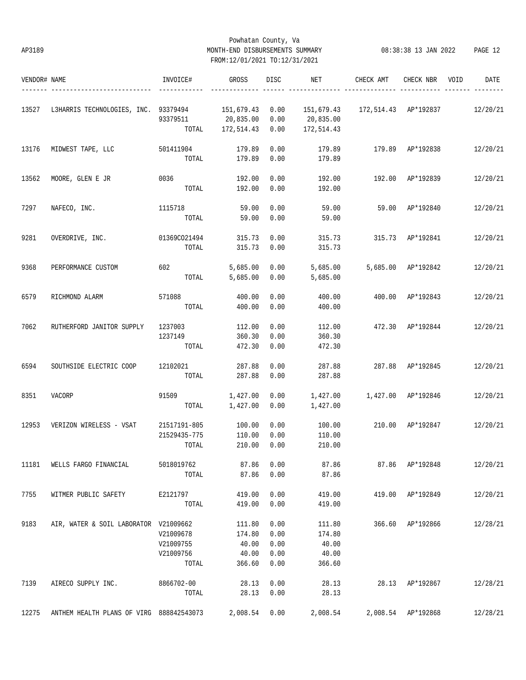## Powhatan County, Va AP3189 MONTH-END DISBURSEMENTS SUMMARY 08:38:38 13 JAN 2022 PAGE 12 FROM:12/01/2021 TO:12/31/2021

| VENDOR# NAME |                                          | INVOICE#          | GROSS                   | DISC         | NET                     | CHECK AMT | CHECK NBR            | VOID | DATE     |
|--------------|------------------------------------------|-------------------|-------------------------|--------------|-------------------------|-----------|----------------------|------|----------|
|              |                                          |                   |                         |              |                         |           |                      |      |          |
| 13527        | L3HARRIS TECHNOLOGIES, INC. 93379494     |                   | 151,679.43              | 0.00         | 151,679.43              |           | 172,514.43 AP*192837 |      | 12/20/21 |
|              |                                          | 93379511<br>TOTAL | 20,835.00<br>172,514.43 | 0.00<br>0.00 | 20,835.00<br>172,514.43 |           |                      |      |          |
|              |                                          |                   |                         |              |                         |           |                      |      |          |
| 13176        | MIDWEST TAPE, LLC                        | 501411904         | 179.89                  | 0.00         | 179.89                  | 179.89    | AP*192838            |      | 12/20/21 |
|              |                                          | TOTAL             | 179.89                  | 0.00         | 179.89                  |           |                      |      |          |
| 13562        | MOORE, GLEN E JR                         | 0036              | 192.00                  | 0.00         | 192.00                  | 192.00    | AP*192839            |      | 12/20/21 |
|              |                                          | TOTAL             | 192.00                  | 0.00         | 192.00                  |           |                      |      |          |
| 7297         | NAFECO, INC.                             | 1115718           | 59.00                   | 0.00         | 59.00                   | 59.00     | AP*192840            |      | 12/20/21 |
|              |                                          | TOTAL             | 59.00                   | 0.00         | 59.00                   |           |                      |      |          |
| 9281         | OVERDRIVE, INC.                          | 01369CO21494      | 315.73                  | 0.00         | 315.73                  | 315.73    | AP*192841            |      | 12/20/21 |
|              |                                          | TOTAL             | 315.73                  | 0.00         | 315.73                  |           |                      |      |          |
| 9368         | PERFORMANCE CUSTOM                       | 602               | 5,685.00                | 0.00         | 5,685.00                | 5,685.00  | AP*192842            |      | 12/20/21 |
|              |                                          | TOTAL             | 5,685.00                | 0.00         | 5,685.00                |           |                      |      |          |
|              |                                          |                   |                         |              |                         |           |                      |      |          |
| 6579         | RICHMOND ALARM                           | 571088            | 400.00                  | 0.00         | 400.00                  | 400.00    | AP*192843            |      | 12/20/21 |
|              |                                          | TOTAL             | 400.00                  | 0.00         | 400.00                  |           |                      |      |          |
| 7062         | RUTHERFORD JANITOR SUPPLY                | 1237003           | 112.00                  | 0.00         | 112.00                  | 472.30    | AP*192844            |      | 12/20/21 |
|              |                                          | 1237149           | 360.30                  | 0.00         | 360.30                  |           |                      |      |          |
|              |                                          | TOTAL             | 472.30                  | 0.00         | 472.30                  |           |                      |      |          |
| 6594         | SOUTHSIDE ELECTRIC COOP                  | 12102021          | 287.88                  | 0.00         | 287.88                  | 287.88    | AP*192845            |      | 12/20/21 |
|              |                                          | TOTAL             | 287.88                  | 0.00         | 287.88                  |           |                      |      |          |
| 8351         | VACORP                                   | 91509             | 1,427.00                | 0.00         | 1,427.00                | 1,427.00  | AP*192846            |      | 12/20/21 |
|              |                                          | TOTAL             | 1,427.00                | 0.00         | 1,427.00                |           |                      |      |          |
| 12953        | VERIZON WIRELESS - VSAT                  | 21517191-805      | 100.00                  | 0.00         | 100.00                  | 210.00    | AP*192847            |      | 12/20/21 |
|              |                                          | 21529435-775      | 110.00                  | 0.00         | 110.00                  |           |                      |      |          |
|              |                                          | TOTAL             | 210.00                  | 0.00         | 210.00                  |           |                      |      |          |
| 11181        | WELLS FARGO FINANCIAL                    | 5018019762        | 87.86                   | 0.00         | 87.86                   |           | 87.86 AP*192848      |      | 12/20/21 |
|              |                                          | TOTAL             | 87.86                   | 0.00         | 87.86                   |           |                      |      |          |
| 7755         | WITMER PUBLIC SAFETY                     | E2121797          | 419.00                  | 0.00         | 419.00                  | 419.00    | AP*192849            |      | 12/20/21 |
|              |                                          | TOTAL             | 419.00                  | 0.00         | 419.00                  |           |                      |      |          |
|              |                                          |                   |                         |              |                         |           |                      |      |          |
| 9183         | AIR, WATER & SOIL LABORATOR V21009662    |                   | 111.80                  | 0.00         | 111.80                  |           | 366.60 AP*192866     |      | 12/28/21 |
|              |                                          | V21009678         | 174.80                  | 0.00         | 174.80                  |           |                      |      |          |
|              |                                          | V21009755         | 40.00                   | 0.00         | 40.00                   |           |                      |      |          |
|              |                                          | V21009756         | 40.00                   | 0.00         | 40.00                   |           |                      |      |          |
|              |                                          | TOTAL             | 366.60                  | 0.00         | 366.60                  |           |                      |      |          |
| 7139         | AIRECO SUPPLY INC.                       | 8866702-00        | 28.13                   | 0.00         | 28.13                   |           | 28.13 AP*192867      |      | 12/28/21 |
|              |                                          | TOTAL             | 28.13                   | 0.00         | 28.13                   |           |                      |      |          |
| 12275        | ANTHEM HEALTH PLANS OF VIRG 888842543073 |                   | 2,008.54                | 0.00         | 2,008.54                |           | 2,008.54 AP*192868   |      | 12/28/21 |
|              |                                          |                   |                         |              |                         |           |                      |      |          |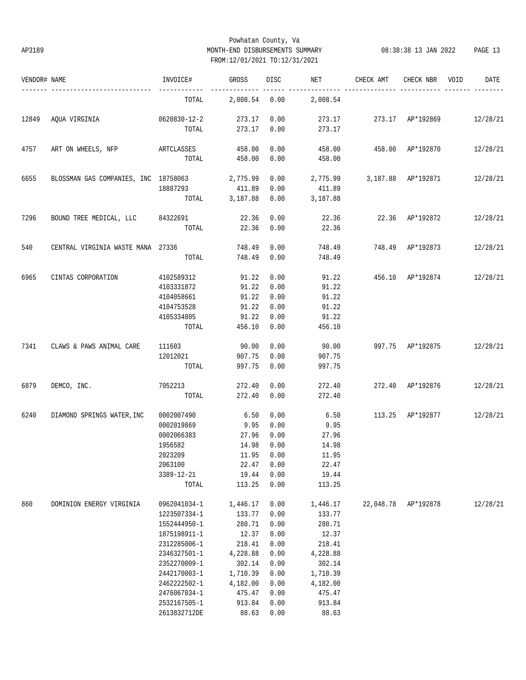## Powhatan County, Va AP3189 MONTH-END DISBURSEMENTS SUMMARY 08:38:38 13 JAN 2022 PAGE 13 FROM:12/01/2021 TO:12/31/2021

| VENDOR# NAME        |                                        | INVOICE#     | GROSS         | DISC       | NET      | CHECK AMT | CHECK NBR                                                                                                                                                                                                                | VOID | DATE     |
|---------------------|----------------------------------------|--------------|---------------|------------|----------|-----------|--------------------------------------------------------------------------------------------------------------------------------------------------------------------------------------------------------------------------|------|----------|
|                     |                                        | TOTAL        | 2,008.54 0.00 |            | 2,008.54 |           |                                                                                                                                                                                                                          |      |          |
| 12849               | AQUA VIRGINIA 0620830-12-2             |              | 273.17        | 0.00       |          |           |                                                                                                                                                                                                                          |      |          |
|                     |                                        | TOTAL        | 273.17        | 0.00       | 273.17   |           |                                                                                                                                                                                                                          |      |          |
| 4757                | ART ON WHEELS, NFP ARTCLASSES          |              | 458.00        | 0.00       | 458.00   |           |                                                                                                                                                                                                                          |      | 12/28/21 |
|                     |                                        | TOTAL        | 458.00        | 0.00       | 458.00   |           |                                                                                                                                                                                                                          |      |          |
| 6655                | BLOSSMAN GAS COMPANIES, INC 18758063   |              | 2,775.99      | 0.00       | 2,775.99 |           |                                                                                                                                                                                                                          |      | 12/28/21 |
|                     |                                        | 18887293     | 411.89        | 0.00       | 411.89   |           |                                                                                                                                                                                                                          |      |          |
|                     |                                        | TOTAL        | 3,187.88      | 0.00       | 3,187.88 |           |                                                                                                                                                                                                                          |      |          |
| 7296                | BOUND TREE MEDICAL, LLC 84322691 22.36 |              |               | 0.00       | 22.36    |           |                                                                                                                                                                                                                          |      | 12/28/21 |
|                     |                                        | TOTAL        | 22.36         | 0.00       | 22.36    |           |                                                                                                                                                                                                                          |      |          |
| 540                 | CENTRAL VIRGINIA WASTE MANA 27336      |              | 748.49        | 0.00       | 748.49   |           | 273.17 273.17 AP*192869 12/28/21<br>458.00 AP*192870<br>3,187.88 AP*192871<br>22.36 AP*192872<br>748.49 AP*192873<br>456.10 AP*192874<br>997.75 AP*192875<br>272.40 AP*192876<br>113.25 AP*192877<br>22,048.78 AP*192878 |      | 12/28/21 |
|                     |                                        | TOTAL        | 748.49        | 0.00       | 748.49   |           |                                                                                                                                                                                                                          |      |          |
| 6965                | CINTAS CORPORATION                     | 4102589312   | 91.22         | 0.00       | 91.22    |           |                                                                                                                                                                                                                          |      | 12/28/21 |
|                     |                                        | 4103331872   | 91.22         | 0.00       | 91.22    |           |                                                                                                                                                                                                                          |      |          |
|                     |                                        | 4104058661   | 91.22         | 0.00       | 91.22    |           |                                                                                                                                                                                                                          |      |          |
|                     |                                        | 4104753528   | 91.22         | 0.00       | 91.22    |           |                                                                                                                                                                                                                          |      |          |
|                     |                                        | 4105334805   | 91.22         | 0.00       | 91.22    |           |                                                                                                                                                                                                                          |      |          |
|                     |                                        | TOTAL        | 456.10        | 0.00       | 456.10   |           |                                                                                                                                                                                                                          |      |          |
|                     | CLAWS & PAWS ANIMAL CARE               | 111603       | 90.00         | 0.00       | 90.00    |           |                                                                                                                                                                                                                          |      | 12/28/21 |
|                     |                                        | 12012021     | 907.75        | 0.00       | 907.75   |           |                                                                                                                                                                                                                          |      |          |
|                     |                                        | TOTAL        | 997.75        | 0.00       | 997.75   |           |                                                                                                                                                                                                                          |      |          |
|                     | DEMCO, INC.                            | 7052213      | 272.40        | 0.00       | 272.40   |           |                                                                                                                                                                                                                          |      | 12/28/21 |
|                     |                                        | TOTAL        | 272.40        | 0.00       | 272.40   |           |                                                                                                                                                                                                                          |      |          |
| 6240                | DIAMOND SPRINGS WATER, INC             | 0002007490   | 6.50          | 0.00       | 6.50     |           |                                                                                                                                                                                                                          |      | 12/28/21 |
|                     |                                        | 0002019869   | 9.95          | 0.00       | 9.95     |           |                                                                                                                                                                                                                          |      |          |
|                     |                                        | 0002066383   | 27.96         | 0.00       | 27.96    |           |                                                                                                                                                                                                                          |      |          |
| 7341<br>6879<br>860 |                                        | 1956582      | 14.98         | 0.00       | 14.98    |           |                                                                                                                                                                                                                          |      |          |
|                     |                                        | 2023209      |               | 11.95 0.00 | 11.95    |           |                                                                                                                                                                                                                          |      |          |
|                     |                                        | 2063100      | 22.47         | 0.00       | 22.47    |           |                                                                                                                                                                                                                          |      |          |
|                     |                                        | 3389-12-21   | 19.44         | 0.00       | 19.44    |           |                                                                                                                                                                                                                          |      |          |
|                     |                                        | TOTAL        | 113.25        | 0.00       | 113.25   |           |                                                                                                                                                                                                                          |      |          |
|                     | DOMINION ENERGY VIRGINIA               | 0962041034-1 | 1,446.17      | 0.00       | 1,446.17 |           |                                                                                                                                                                                                                          |      | 12/28/21 |
|                     |                                        | 1223507334-1 | 133.77        | 0.00       | 133.77   |           |                                                                                                                                                                                                                          |      |          |
|                     |                                        | 1552444950-1 | 280.71        | 0.00       | 280.71   |           |                                                                                                                                                                                                                          |      |          |
|                     |                                        | 1875198911-1 | 12.37         | 0.00       | 12.37    |           |                                                                                                                                                                                                                          |      |          |
|                     |                                        | 2312285006-1 | 218.41        | 0.00       | 218.41   |           |                                                                                                                                                                                                                          |      |          |
|                     |                                        | 2346327501-1 | 4,228.88      | 0.00       | 4,228.88 |           |                                                                                                                                                                                                                          |      |          |
|                     |                                        | 2352270009-1 | 302.14        | 0.00       | 302.14   |           |                                                                                                                                                                                                                          |      |          |
|                     |                                        | 2442170003-1 | 1,710.39      | 0.00       | 1,710.39 |           |                                                                                                                                                                                                                          |      |          |
|                     |                                        | 2462222502-1 | 4,182.00      | 0.00       | 4,182.00 |           |                                                                                                                                                                                                                          |      |          |
|                     |                                        | 2476067034-1 | 475.47        | 0.00       | 475.47   |           |                                                                                                                                                                                                                          |      |          |
|                     |                                        | 2532167505-1 | 913.84        | 0.00       | 913.84   |           |                                                                                                                                                                                                                          |      |          |
|                     |                                        | 2613832712DE | 88.63         | 0.00       | 88.63    |           |                                                                                                                                                                                                                          |      |          |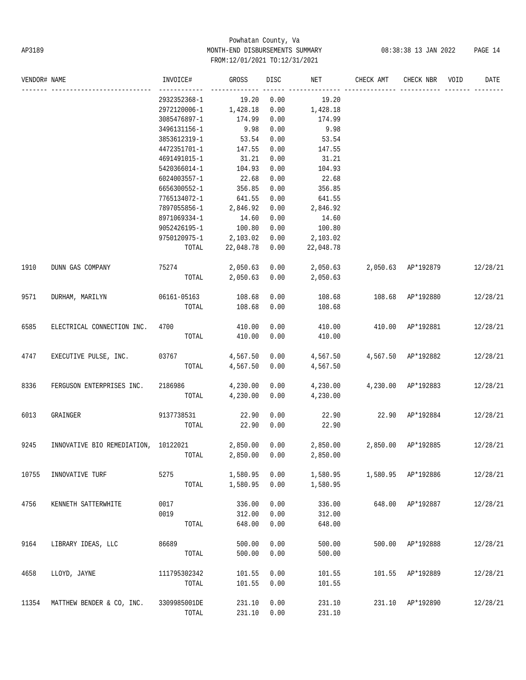# Powhatan County, Va AP3189 MONTH-END DISBURSEMENTS SUMMARY 08:38:38 13 JAN 2022 PAGE 14 FROM:12/01/2021 TO:12/31/2021

| VENDOR# NAME |                                      | INVOICE#     | GROSS     | DISC | NET       | CHECK AMT                   | CHECK NBR          | VOID | DATE     |
|--------------|--------------------------------------|--------------|-----------|------|-----------|-----------------------------|--------------------|------|----------|
|              |                                      | 2932352368-1 | 19.20     | 0.00 | 19.20     |                             |                    |      |          |
|              |                                      | 2972120006-1 | 1,428.18  | 0.00 | 1,428.18  |                             |                    |      |          |
|              |                                      | 3085476897-1 | 174.99    | 0.00 | 174.99    |                             |                    |      |          |
|              |                                      | 3496131156-1 | 9.98      | 0.00 | 9.98      |                             |                    |      |          |
|              |                                      | 3853612319-1 | 53.54     | 0.00 | 53.54     |                             |                    |      |          |
|              |                                      | 4472351701-1 | 147.55    | 0.00 | 147.55    |                             |                    |      |          |
|              |                                      | 4691491015-1 | 31.21     | 0.00 | 31.21     |                             |                    |      |          |
|              |                                      | 5420366014-1 | 104.93    | 0.00 | 104.93    |                             |                    |      |          |
|              |                                      | 6024003557-1 | 22.68     | 0.00 | 22.68     |                             |                    |      |          |
|              |                                      | 6656300552-1 | 356.85    | 0.00 | 356.85    |                             |                    |      |          |
|              |                                      | 7765134072-1 | 641.55    | 0.00 | 641.55    |                             |                    |      |          |
|              |                                      | 7897055856-1 | 2,846.92  | 0.00 | 2,846.92  |                             |                    |      |          |
|              |                                      | 8971069334-1 | 14.60     | 0.00 | 14.60     |                             |                    |      |          |
|              |                                      | 9052426195-1 | 100.80    | 0.00 | 100.80    |                             |                    |      |          |
|              |                                      | 9750120975-1 | 2,103.02  | 0.00 | 2,103.02  |                             |                    |      |          |
|              |                                      | TOTAL        | 22,048.78 | 0.00 | 22,048.78 |                             |                    |      |          |
| 1910         | DUNN GAS COMPANY                     | 75274        | 2,050.63  | 0.00 | 2,050.63  | 2,050.63 AP*192879          |                    |      | 12/28/21 |
|              |                                      | TOTAL        | 2,050.63  | 0.00 | 2,050.63  |                             |                    |      |          |
| 9571         | DURHAM, MARILYN                      | 06161-05163  | 108.68    | 0.00 | 108.68    | 108.68 AP*192880            |                    |      | 12/28/21 |
|              |                                      | TOTAL        | 108.68    | 0.00 | 108.68    |                             |                    |      |          |
| 6585         | ELECTRICAL CONNECTION INC.           | 4700         | 410.00    | 0.00 | 410.00    |                             | 410.00 AP*192881   |      | 12/28/21 |
|              |                                      | TOTAL        | 410.00    | 0.00 | 410.00    |                             |                    |      |          |
| 4747         | EXECUTIVE PULSE, INC.                | 03767        | 4,567.50  | 0.00 | 4,567.50  |                             | 4,567.50 AP*192882 |      | 12/28/21 |
|              |                                      | TOTAL        | 4,567.50  | 0.00 | 4,567.50  |                             |                    |      |          |
| 8336         | FERGUSON ENTERPRISES INC.            | 2186986      | 4,230.00  | 0.00 | 4,230.00  |                             | 4,230.00 AP*192883 |      | 12/28/21 |
|              |                                      | TOTAL        | 4,230.00  | 0.00 | 4,230.00  |                             |                    |      |          |
| 6013         | GRAINGER                             | 9137738531   | 22.90     | 0.00 | 22.90     |                             | 22.90 AP*192884    |      | 12/28/21 |
|              |                                      | TOTAL        | 22.90     | 0.00 | 22.90     |                             |                    |      |          |
| 9245         | INNOVATIVE BIO REMEDIATION, 10122021 |              | 2,850.00  | 0.00 |           | 2,850.00 2,850.00 AP*192885 |                    |      | 12/28/21 |
|              |                                      | TOTAL        | 2,850.00  | 0.00 | 2,850.00  |                             |                    |      |          |
| 10755        | INNOVATIVE TURF                      | 5275         | 1,580.95  | 0.00 | 1,580.95  |                             | 1,580.95 AP*192886 |      | 12/28/21 |
|              |                                      | TOTAL        | 1,580.95  | 0.00 | 1,580.95  |                             |                    |      |          |
| 4756         | KENNETH SATTERWHITE                  | 0017         | 336.00    | 0.00 | 336.00    | 648.00                      | AP*192887          |      | 12/28/21 |
|              |                                      | 0019         | 312.00    | 0.00 | 312.00    |                             |                    |      |          |
|              |                                      | TOTAL        | 648.00    | 0.00 | 648.00    |                             |                    |      |          |
| 9164         | LIBRARY IDEAS, LLC                   | 86689        | 500.00    | 0.00 | 500.00    | 500.00                      | AP*192888          |      | 12/28/21 |
|              |                                      | TOTAL        | 500.00    | 0.00 | 500.00    |                             |                    |      |          |
| 4658         | LLOYD, JAYNE                         | 111795302342 | 101.55    | 0.00 | 101.55    |                             | 101.55 AP*192889   |      | 12/28/21 |
|              |                                      | TOTAL        | 101.55    | 0.00 | 101.55    |                             |                    |      |          |
| 11354        | MATTHEW BENDER & CO, INC.            | 3309985001DE | 231.10    | 0.00 | 231.10    |                             | 231.10 AP*192890   |      | 12/28/21 |
|              |                                      | TOTAL        | 231.10    | 0.00 | 231.10    |                             |                    |      |          |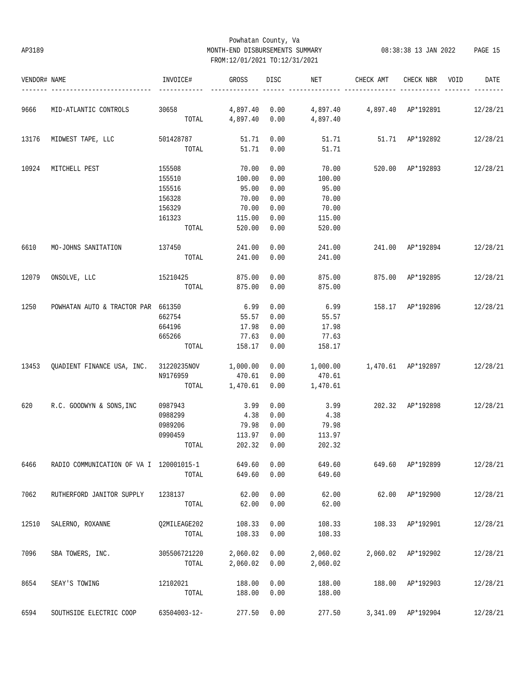## Powhatan County, Va AP3189 MONTH-END DISBURSEMENTS SUMMARY 08:38:38 13 JAN 2022 PAGE 15 FROM:12/01/2021 TO:12/31/2021

| VENDOR# NAME                                          |                                                       | INVOICE#        | GROSS               | DISC | NET                    | CHECK AMT                      | CHECK NBR VOID     | DATE     |
|-------------------------------------------------------|-------------------------------------------------------|-----------------|---------------------|------|------------------------|--------------------------------|--------------------|----------|
|                                                       | MID-ATLANTIC CONTROLS                                 | 30658 30658     |                     |      | 4,897.40 0.00 4,897.40 |                                | 4,897.40 AP*192891 | 12/28/21 |
|                                                       |                                                       |                 | TOTAL 4,897.40 0.00 |      | 4,897.40               |                                |                    |          |
| 13176                                                 | MIDWEST TAPE, LLC                                     | 501428787       | 51.71               | 0.00 |                        | 51.71 51.71 AP*192892          |                    | 12/28/21 |
|                                                       |                                                       |                 | TOTAL 51.71         | 0.00 | 51.71                  |                                |                    |          |
| 10924                                                 | MITCHELL PEST                                         | 155508          | 70.00               | 0.00 | 70.00                  | 520.00 AP*192893 12/28/21      |                    |          |
|                                                       |                                                       | 155510          | 100.00              | 0.00 | 100.00                 |                                |                    |          |
|                                                       |                                                       | 155516          | 95.00               | 0.00 | 95.00                  |                                |                    |          |
|                                                       |                                                       | 156328          | 70.00               | 0.00 | 70.00                  |                                |                    |          |
|                                                       |                                                       | 156329          | 70.00               | 0.00 | 70.00                  |                                |                    |          |
|                                                       |                                                       | 161323          | 115.00              | 0.00 | 115.00                 |                                |                    |          |
|                                                       |                                                       | TOTAL           | 520.00              | 0.00 | 520.00                 |                                |                    |          |
| 6610                                                  | MO-JOHNS SANITATION                                   | 137450          | 241.00              | 0.00 | 241.00                 | 241.00 AP*192894 12/28/21      |                    |          |
|                                                       |                                                       | TOTAL           | 241.00              | 0.00 | 241.00                 |                                |                    |          |
| 12079                                                 | ONSOLVE, LLC                                          | 15210425 875.00 |                     | 0.00 | 875.00                 | 875.00 AP*192895 12/28/21      |                    |          |
|                                                       |                                                       |                 | TOTAL 875.00        | 0.00 | 875.00                 |                                |                    |          |
| 1250                                                  | POWHATAN AUTO & TRACTOR PAR 661350                    |                 | 6.99                | 0.00 |                        | 6.99 158.17 AP*192896 12/28/21 |                    |          |
|                                                       |                                                       | 662754          | 55.57               | 0.00 | 55.57                  |                                |                    |          |
|                                                       |                                                       | 664196          | 17.98               | 0.00 | 17.98                  |                                |                    |          |
|                                                       |                                                       | 665266          | 77.63               | 0.00 | 77.63                  |                                |                    |          |
|                                                       |                                                       | TOTAL           | 158.17              | 0.00 | 158.17                 |                                |                    |          |
|                                                       | 13453 QUADIENT FINANCE USA, INC. 31220235NOV 1,000.00 |                 |                     |      | $0.00$ 1,000.00        | 1,470.61 AP*192897 12/28/21    |                    |          |
|                                                       |                                                       | N9176959        | 470.61              | 0.00 | 470.61                 |                                |                    |          |
|                                                       |                                                       |                 | TOTAL 1,470.61      | 0.00 | 1,470.61               |                                |                    |          |
| 620                                                   | R.C. GOODWYN & SONS, INC                              | 0987943         | 3.99                | 0.00 | 3.99                   | 202.32 AP*192898 12/28/21      |                    |          |
|                                                       |                                                       | 0988299         | 4.38                | 0.00 | 4.38                   |                                |                    |          |
| 9666<br>6466<br>7062<br>12510<br>7096<br>8654<br>6594 |                                                       | 0989206         | 79.98               | 0.00 | 79.98                  |                                |                    |          |
|                                                       |                                                       | 0990459         | 113.97              | 0.00 | 113.97                 |                                |                    |          |
|                                                       |                                                       | TOTAL           | 202.32              | 0.00 | 202.32                 |                                |                    |          |
|                                                       | RADIO COMMUNICATION OF VA I 120001015-1               |                 | 649.60              | 0.00 | 649.60                 |                                | 649.60 AP*192899   | 12/28/21 |
|                                                       |                                                       | TOTAL           | 649.60              | 0.00 | 649.60                 |                                |                    |          |
|                                                       | RUTHERFORD JANITOR SUPPLY                             | 1238137         | 62.00               | 0.00 | 62.00                  |                                | 62.00 AP*192900    | 12/28/21 |
|                                                       |                                                       | TOTAL           | 62.00               | 0.00 | 62.00                  |                                |                    |          |
|                                                       | SALERNO, ROXANNE                                      | Q2MILEAGE202    | 108.33              | 0.00 | 108.33                 |                                | 108.33 AP*192901   | 12/28/21 |
|                                                       |                                                       | TOTAL           | 108.33              | 0.00 | 108.33                 |                                |                    |          |
|                                                       | SBA TOWERS, INC.                                      | 305506721220    | 2,060.02            | 0.00 | 2,060.02               |                                | 2,060.02 AP*192902 | 12/28/21 |
|                                                       |                                                       | TOTAL           | 2,060.02            | 0.00 | 2,060.02               |                                |                    |          |
|                                                       | SEAY'S TOWING                                         | 12102021        | 188.00              | 0.00 | 188.00                 |                                | 188.00 AP*192903   | 12/28/21 |
|                                                       |                                                       | TOTAL           | 188.00              | 0.00 | 188.00                 |                                |                    |          |
|                                                       | SOUTHSIDE ELECTRIC COOP                               | 63504003-12-    | 277.50              | 0.00 | 277.50                 |                                | 3,341.09 AP*192904 | 12/28/21 |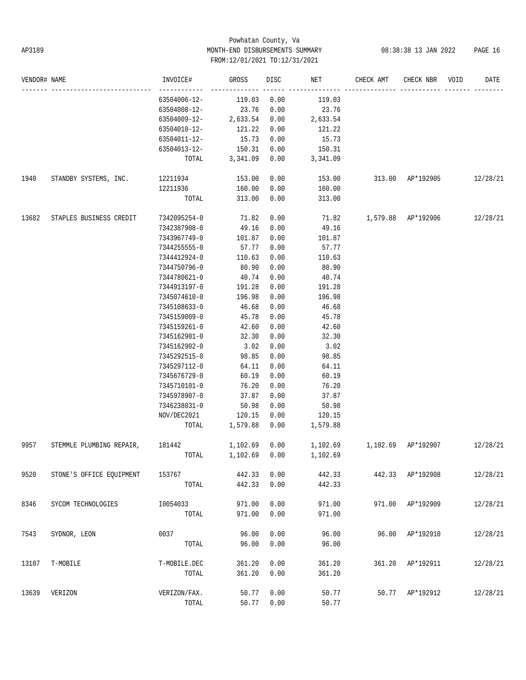# Powhatan County, Va AP3189 MONTH-END DISBURSEMENTS SUMMARY 08:38:38 13 JAN 2022 PAGE 16 FROM:12/01/2021 TO:12/31/2021

| VENDOR# NAME |                          | INVOICE#             | GROSS              | DISC         | NET                | CHECK AMT                               | CHECK NBR          | VOID | DATE     |
|--------------|--------------------------|----------------------|--------------------|--------------|--------------------|-----------------------------------------|--------------------|------|----------|
|              |                          | 63504006-12-         | 119.03             | 0.00         | 119.03             |                                         |                    |      |          |
|              |                          | 63504008-12-         | 23.76              | 0.00         | 23.76              |                                         |                    |      |          |
|              |                          | 63504009-12-         | 2,633.54           | 0.00         | 2,633.54           |                                         |                    |      |          |
|              |                          | 63504010-12-         | 121.22             | 0.00         | 121.22             |                                         |                    |      |          |
|              |                          | 63504011-12-         | 15.73              | 0.00         | 15.73              |                                         |                    |      |          |
|              |                          | 63504013-12-         | 150.31             | 0.00         | 150.31             |                                         |                    |      |          |
|              |                          | TOTAL                | 3,341.09           | 0.00         | 3,341.09           |                                         |                    |      |          |
| 1940         | STANDBY SYSTEMS, INC.    | 12211934             | 153.00             | 0.00         | 153.00             | 313.00 AP*192905                        |                    |      | 12/28/21 |
|              |                          | 12211936             | 160.00             | 0.00         | 160.00             |                                         |                    |      |          |
|              |                          | TOTAL                | 313.00             | 0.00         | 313.00             |                                         |                    |      |          |
| 13682        | STAPLES BUSINESS CREDIT  | 7342095254-0 71.82   |                    | 0.00         |                    | 71.82   1,579.88   AP*192906   12/28/21 |                    |      |          |
|              |                          | 7342387908-0         | 49.16              | 0.00         | 49.16              |                                         |                    |      |          |
|              |                          | 7343967749-0         | 101.87             | 0.00         | 101.87             |                                         |                    |      |          |
|              |                          | 7344255555-0         | 57.77              | 0.00         | 57.77              |                                         |                    |      |          |
|              |                          | 7344412924-0         | 110.63             | 0.00         | 110.63             |                                         |                    |      |          |
|              |                          | 7344750796-0         | 80.90              | 0.00         | 80.90              |                                         |                    |      |          |
|              |                          | 7344780621-0         | 40.74              | 0.00         | 40.74              |                                         |                    |      |          |
|              |                          | 7344913197-0         | 191.28             | 0.00         | 191.28             |                                         |                    |      |          |
|              |                          | 7345074610-0         | 196.98             | 0.00         | 196.98             |                                         |                    |      |          |
|              |                          | 7345108633-0         | 46.68              | 0.00         | 46.68              |                                         |                    |      |          |
|              |                          | 7345159009-0         | 45.78              | 0.00         | 45.78              |                                         |                    |      |          |
|              |                          | 7345159261-0         | 42.60              | 0.00         | 42.60              |                                         |                    |      |          |
|              |                          | 7345162901-0         | 32.30              | 0.00         | 32.30              |                                         |                    |      |          |
|              |                          | 7345162902-0         | 3.02               | 0.00         | 3.02               |                                         |                    |      |          |
|              |                          | 7345292515-0         | 98.85              | 0.00         | 98.85              |                                         |                    |      |          |
|              |                          | 7345297112-0         | 64.11              | 0.00         | 64.11              |                                         |                    |      |          |
|              |                          | 7345676729-0         | 60.19              | 0.00         | 60.19              |                                         |                    |      |          |
|              |                          | 7345710101-0         | 76.20              | 0.00         | 76.20              |                                         |                    |      |          |
|              |                          | 7345978907-0         | 37.87              | 0.00         | 37.87              |                                         |                    |      |          |
|              |                          |                      | 50.98              | 0.00         | 50.98              |                                         |                    |      |          |
|              |                          | 7346238031-0         |                    |              |                    |                                         |                    |      |          |
|              |                          | NOV/DEC2021<br>TOTAL | 120.15<br>1,579.88 | 0.00<br>0.00 | 120.15<br>1,579.88 |                                         |                    |      |          |
| 9957         | STEMMLE PLUMBING REPAIR, | 181442               | 1,102.69           | 0.00         | 1,102.69           |                                         | 1,102.69 AP*192907 |      | 12/28/21 |
|              |                          |                      | TOTAL 1,102.69     |              | $0.00$ 1,102.69    |                                         |                    |      |          |
| 9520         | STONE'S OFFICE EQUIPMENT | 153767               | 442.33             | 0.00         | 442.33             |                                         | 442.33 AP*192908   |      | 12/28/21 |
|              |                          | TOTAL                | 442.33             | 0.00         | 442.33             |                                         |                    |      |          |
| 8346         | SYCOM TECHNOLOGIES       | I0054033             | 971.00             | 0.00         | 971.00             |                                         | 971.00 AP*192909   |      | 12/28/21 |
|              |                          | TOTAL                | 971.00             | 0.00         | 971.00             |                                         |                    |      |          |
| 7543         | SYDNOR, LEON             | 0037                 | 96.00              | 0.00         | 96.00              |                                         | 96.00 AP*192910    |      | 12/28/21 |
|              |                          | TOTAL                | 96.00              | 0.00         | 96.00              |                                         |                    |      |          |
| 13107        | T-MOBILE                 | T-MOBILE.DEC         | 361.20             | 0.00         | 361.20             |                                         | 361.20 AP*192911   |      | 12/28/21 |
|              |                          | TOTAL                | 361.20             | 0.00         | 361.20             |                                         |                    |      |          |
| 13639        | VERIZON                  | VERIZON/FAX.         | 50.77              | 0.00         | 50.77              |                                         | 50.77 AP*192912    |      | 12/28/21 |
|              |                          | TOTAL                | 50.77              | 0.00         | 50.77              |                                         |                    |      |          |